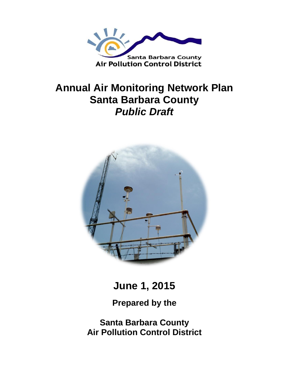

# **Annual Air Monitoring Network Plan Santa Barbara County** *Public Draft*



**June 1, 2015**

**Prepared by the**

**Santa Barbara County Air Pollution Control District**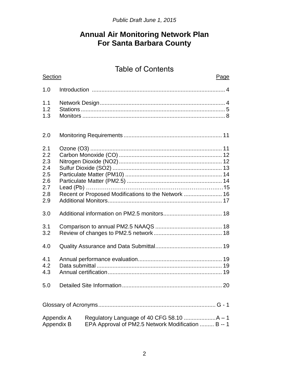## **Annual Air Monitoring Network Plan For Santa Barbara County**

# Table of Contents

| Section                                                                        |  | Page                                                |  |  |  |  |
|--------------------------------------------------------------------------------|--|-----------------------------------------------------|--|--|--|--|
| 1.0                                                                            |  |                                                     |  |  |  |  |
| 1.1<br>1.2<br>1.3                                                              |  |                                                     |  |  |  |  |
| 2.0                                                                            |  |                                                     |  |  |  |  |
| 2.1<br>2.2<br>2.3<br>2.4<br>2.5<br>2.6<br>2.7<br>2.8<br>2.9                    |  | Recent or Proposed Modifications to the Network  16 |  |  |  |  |
| 3.0                                                                            |  |                                                     |  |  |  |  |
| 3.1<br>3.2                                                                     |  |                                                     |  |  |  |  |
| 4.0                                                                            |  |                                                     |  |  |  |  |
| 4.1<br>4.2<br>4.3                                                              |  |                                                     |  |  |  |  |
| 5.0                                                                            |  | 20                                                  |  |  |  |  |
|                                                                                |  |                                                     |  |  |  |  |
| Appendix A<br>EPA Approval of PM2.5 Network Modification  B -- 1<br>Appendix B |  |                                                     |  |  |  |  |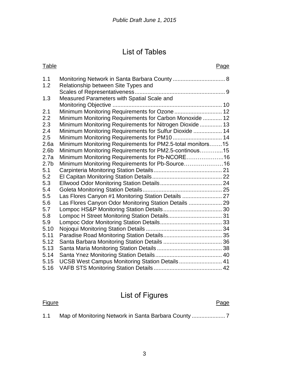# List of Tables

| <b>Table</b>     |                                                            | Page |
|------------------|------------------------------------------------------------|------|
| 1.1              |                                                            |      |
| 1.2              | Relationship between Site Types and                        |      |
|                  |                                                            |      |
| 1.3              | Measured Parameters with Spatial Scale and                 |      |
|                  |                                                            |      |
| 2.1              | Minimum Monitoring Requirements for Ozone  12              |      |
| 2.2              | Minimum Monitoring Requirements for Carbon Monoxide  12    |      |
| 2.3              | Minimum Monitoring Requirements for Nitrogen Dioxide  13   |      |
| 2.4              | Minimum Monitoring Requirements for Sulfur Dioxide  14     |      |
| 2.5              | Minimum Monitoring Requirements for PM10  14               |      |
| 2.6a             | Minimum Monitoring Requirements for PM2.5-total monitors15 |      |
| 2.6 <sub>b</sub> | Minimum Monitoring Requirements for PM2.5-continous15      |      |
| 2.7a             | Minimum Monitoring Requirements for Pb-NCORE16             |      |
| 2.7 <sub>b</sub> | Minimum Monitoring Requirements for Pb-Source 16           |      |
| 5.1              |                                                            |      |
| 5.2              |                                                            |      |
| 5.3              |                                                            |      |
| 5.4              |                                                            |      |
| 5.5              | Las Flores Canyon #1 Monitoring Station Details  27        |      |
| 5.6              | Las Flores Canyon Odor Monitoring Station Details  29      |      |
| 5.7              |                                                            |      |
| 5.8              |                                                            |      |
| 5.9              |                                                            |      |
| 5.10             |                                                            |      |
| 5.11             |                                                            |      |
| 5.12             |                                                            |      |
| 5.13             |                                                            |      |
| 5.14             |                                                            |      |
| 5.15             | UCSB West Campus Monitoring Station Details  41            |      |
| 5.16             |                                                            |      |

# List of Figures

Figure Page **Page** 

1.1 Map of Monitoring Network in Santa Barbara County ..................... 7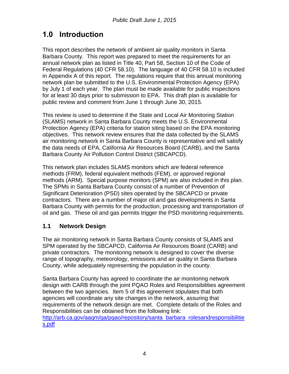# **1.0 Introduction**

This report describes the network of ambient air quality monitors in Santa Barbara County. This report was prepared to meet the requirements for an annual network plan as listed in Title 40, Part 58, Section 10 of the Code of Federal Regulations (40 CFR 58.10). The language of 40 CFR 58.10 is included in Appendix A of this report. The regulations require that this annual monitoring network plan be submitted to the U.S. Environmental Protection Agency (EPA) by July 1 of each year. The plan must be made available for public inspections for at least 30 days prior to submission to EPA. This draft plan is available for public review and comment from June 1 through June 30, 2015.

This review is used to determine if the State and Local Air Monitoring Station (SLAMS) network in Santa Barbara County meets the U.S. Environmental Protection Agency (EPA) criteria for station siting based on the EPA monitoring objectives. This network review ensures that the data collected by the SLAMS air monitoring network in Santa Barbara County is representative and will satisfy the data needs of EPA, California Air Resources Board (CARB), and the Santa Barbara County Air Pollution Control District (SBCAPCD).

This network plan includes SLAMS monitors which are federal reference methods (FRM), federal equivalent methods (FEM), or approved regional methods (ARM). Special purpose monitors (SPM) are also included in this plan. The SPMs in Santa Barbara County consist of a number of Prevention of Significant Deterioration (PSD) sites operated by the SBCAPCD or private contractors. There are a number of major oil and gas developments in Santa Barbara County with permits for the production, processing and transportation of oil and gas. These oil and gas permits trigger the PSD monitoring requirements.

### **1.1 Network Design**

The air monitoring network in Santa Barbara County consists of SLAMS and SPM operated by the SBCAPCD, California Air Resources Board (CARB) and private contractors. The monitoring network is designed to cover the diverse range of topography, meteorology, emissions and air quality in Santa Barbara County, while adequately representing the population in the county.

Santa Barbara County has agreed to coordinate the air monitoring network design with CARB through the joint PQAO Roles and Responsibilities agreement between the two agencies. Item 5 of this agreement stipulates that both agencies will coordinate any site changes in the network, assuring that requirements of the network design are met. Complete details of the Roles and Responsibilities can be obtained from the following link: http://arb.ca.gov/aagm/ga/pgao/repository/santa barbara rolesandresponsibilitie [s.pdf](http://arb.ca.gov/aaqm/qa/pqao/repository/santa_barbara_rolesandresponsibilities.pdf)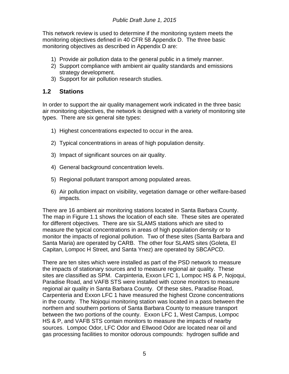This network review is used to determine if the monitoring system meets the monitoring objectives defined in 40 CFR 58 Appendix D. The three basic monitoring objectives as described in Appendix D are:

- 1) Provide air pollution data to the general public in a timely manner.
- 2) Support compliance with ambient air quality standards and emissions strategy development.
- 3) Support for air pollution research studies.

### **1.2 Stations**

In order to support the air quality management work indicated in the three basic air monitoring objectives, the network is designed with a variety of monitoring site types. There are six general site types:

- 1) Highest concentrations expected to occur in the area.
- 2) Typical concentrations in areas of high population density.
- 3) Impact of significant sources on air quality.
- 4) General background concentration levels.
- 5) Regional pollutant transport among populated areas.
- 6) Air pollution impact on visibility, vegetation damage or other welfare-based impacts.

There are 16 ambient air monitoring stations located in Santa Barbara County. The map in Figure 1.1 shows the location of each site. These sites are operated for different objectives. There are six SLAMS stations which are sited to measure the typical concentrations in areas of high population density or to monitor the impacts of regional pollution. Two of these sites (Santa Barbara and Santa Maria) are operated by CARB. The other four SLAMS sites (Goleta, El Capitan, Lompoc H Street, and Santa Ynez) are operated by SBCAPCD.

There are ten sites which were installed as part of the PSD network to measure the impacts of stationary sources and to measure regional air quality. These sites are classified as SPM. Carpinteria, Exxon LFC 1, Lompoc HS & P, Nojoqui, Paradise Road, and VAFB STS were installed with ozone monitors to measure regional air quality in Santa Barbara County. Of these sites, Paradise Road, Carpenteria and Exxon LFC 1 have measured the highest Ozone concentrations in the county. The Nojoqui monitoring station was located in a pass between the northern and southern portions of Santa Barbara County to measure transport between the two portions of the county. Exxon LFC 1, West Campus, Lompoc HS & P, and VAFB STS contain monitors to measure the impacts of nearby sources. Lompoc Odor, LFC Odor and Ellwood Odor are located near oil and gas processing facilities to monitor odorous compounds: hydrogen sulfide and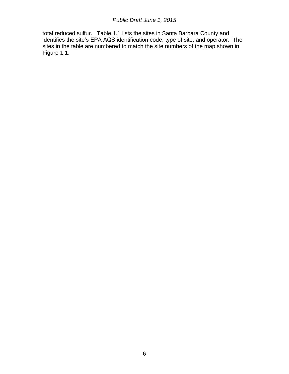total reduced sulfur. Table 1.1 lists the sites in Santa Barbara County and identifies the site's EPA AQS identification code, type of site, and operator. The sites in the table are numbered to match the site numbers of the map shown in Figure 1.1.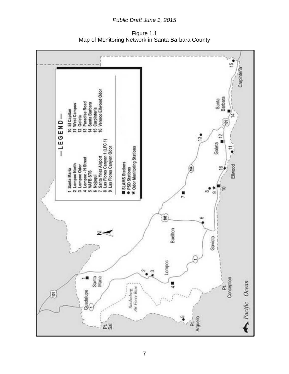Figure 1.1 Map of Monitoring Network in Santa Barbara County

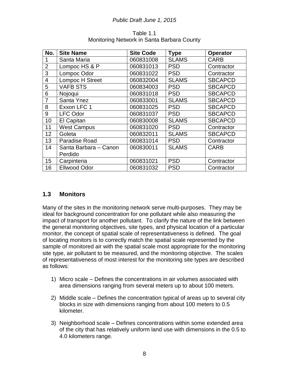| No.            | <b>Site Name</b>      | <b>Site Code</b> | <b>Type</b>  | <b>Operator</b> |
|----------------|-----------------------|------------------|--------------|-----------------|
| 1              | Santa Maria           | 060831008        | <b>SLAMS</b> | <b>CARB</b>     |
| $\overline{2}$ | Lompoc HS & P         | 060831013        | <b>PSD</b>   | Contractor      |
| 3              | Lompoc Odor           | 060831022        | <b>PSD</b>   | Contractor      |
| 4              | Lompoc H Street       | 060832004        | <b>SLAMS</b> | <b>SBCAPCD</b>  |
| 5              | <b>VAFB STS</b>       | 060834003        | <b>PSD</b>   | <b>SBCAPCD</b>  |
| 6              | Nojogui               | 060831018        | <b>PSD</b>   | <b>SBCAPCD</b>  |
| 7              | Santa Ynez            | 060833001        | <b>SLAMS</b> | <b>SBCAPCD</b>  |
| 8              | Exxon LFC 1           | 060831025        | <b>PSD</b>   | <b>SBCAPCD</b>  |
| 9              | <b>LFC Odor</b>       | 060831037        | <b>PSD</b>   | <b>SBCAPCD</b>  |
| 10             | El Capitan            | 060830008        | <b>SLAMS</b> | <b>SBCAPCD</b>  |
| 11             | <b>West Campus</b>    | 060831020        | <b>PSD</b>   | Contractor      |
| 12             | Goleta                | 060832011        | <b>SLAMS</b> | <b>SBCAPCD</b>  |
| 13             | <b>Paradise Road</b>  | 060831014        | <b>PSD</b>   | Contractor      |
| 14             | Santa Barbara - Canon | 060830011        | <b>SLAMS</b> | <b>CARB</b>     |
|                | Perdido               |                  |              |                 |
| 15             | Carpinteria           | 060831021        | <b>PSD</b>   | Contractor      |
| 16             | <b>Ellwood Odor</b>   | 060831032        | <b>PSD</b>   | Contractor      |

#### Table 1.1 Monitoring Network in Santa Barbara County

### **1.3 Monitors**

Many of the sites in the monitoring network serve multi-purposes. They may be ideal for background concentration for one pollutant while also measuring the impact of transport for another pollutant. To clarify the nature of the link between the general monitoring objectives, site types, and physical location of a particular monitor, the concept of spatial scale of representativeness is defined. The goal of locating monitors is to correctly match the spatial scale represented by the sample of monitored air with the spatial scale most appropriate for the monitoring site type, air pollutant to be measured, and the monitoring objective. The scales of representativeness of most interest for the monitoring site types are described as follows:

- 1) Micro scale Defines the concentrations in air volumes associated with area dimensions ranging from several meters up to about 100 meters.
- 2) Middle scale Defines the concentration typical of areas up to several city blocks in size with dimensions ranging from about 100 meters to 0.5 kilometer.
- 3) Neighborhood scale Defines concentrations within some extended area of the city that has relatively uniform land use with dimensions in the 0.5 to 4.0 kilometers range.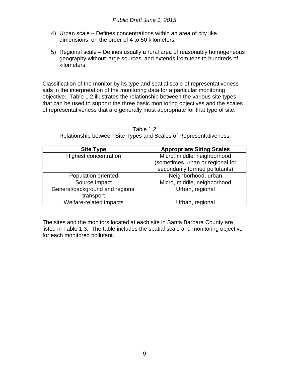- 4) Urban scale Defines concentrations within an area of city like dimensions, on the order of 4 to 50 kilometers.
- 5) Regional scale Defines usually a rural area of reasonably homogeneous geography without large sources, and extends from tens to hundreds of kilometers.

Classification of the monitor by its type and spatial scale of representativeness aids in the interpretation of the monitoring data for a particular monitoring objective. Table 1.2 illustrates the relationship between the various site types that can be used to support the three basic monitoring objectives and the scales of representativeness that are generally most appropriate for that type of site.

| <b>Site Type</b>                | <b>Appropriate Siting Scales</b> |
|---------------------------------|----------------------------------|
| <b>Highest concentration</b>    | Micro, middle, neighborhood      |
|                                 | (sometimes urban or regional for |
|                                 | secondarily formed pollutants)   |
| Population oriented             | Neighborhood, urban              |
| Source Impact                   | Micro, middle, neighborhood      |
| General/background and regional | Urban, regional                  |
| transport                       |                                  |
| Welfare-related impacts         | Urban, regional                  |

Table 1.2 Relationship between Site Types and Scales of Representativeness

The sites and the monitors located at each site in Santa Barbara County are listed in Table 1.3. The table includes the spatial scale and monitoring objective for each monitored pollutant.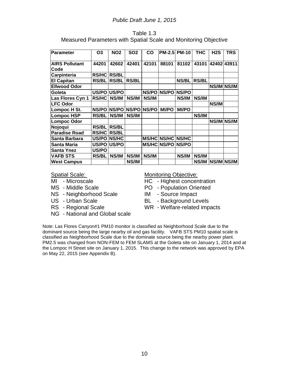| Table 1.3                                                       |  |
|-----------------------------------------------------------------|--|
| Measured Parameters with Spatial Scale and Monitoring Objective |  |

| <b>Parameter</b>              | O3           | NO <sub>2</sub>   | <b>SO2</b>   | CO           | <b>PM-2.5 PM-10</b>      |              | THC          | H <sub>2</sub> S | TRS |
|-------------------------------|--------------|-------------------|--------------|--------------|--------------------------|--------------|--------------|------------------|-----|
| <b>AIRS Pollutant</b><br>Code | 44201        | 42602             | 42401        | 42101        | 88101                    | 81102        | 43101        | 42402 43911      |     |
| Carpinteria                   | RS/HC        | <b>RS/BL</b>      |              |              |                          |              |              |                  |     |
|                               |              |                   |              |              |                          |              |              |                  |     |
| <b>El Capitan</b>             | <b>RS/BL</b> | <b>RS/BL</b>      | <b>RS/BL</b> |              |                          | <b>NS/BL</b> | <b>RS/BL</b> |                  |     |
| <b>Ellwood Odor</b>           |              |                   |              |              |                          |              |              | NS/IM NS/IM      |     |
| Goleta                        |              | US/PO US/PO       |              |              | NS/PO NS/PO              | NS/PO        |              |                  |     |
| Las Flores Cyn 1              | <b>RS/HC</b> | NS/IM             | NS/IM        | NS/IM        |                          | NS/IM        | <b>NS/IM</b> |                  |     |
| <b>LFC Odor</b>               |              |                   |              |              |                          |              |              | NS/IM            |     |
| Lompoc H St.                  |              | NS/PO NS/PO NS/PO |              | <b>NS/PO</b> | <b>MI/PO</b>             | <b>MI/PO</b> |              |                  |     |
| <b>Lompoc HSP</b>             | <b>RS/BL</b> | NS/IM             | NS/IM        |              |                          |              | NS/IM        |                  |     |
| <b>Lompoc Odor</b>            |              |                   |              |              |                          |              |              | NS/IM NS/IM      |     |
| Nojoqui                       | <b>RS/BL</b> | <b>RS/BL</b>      |              |              |                          |              |              |                  |     |
| <b>Paradise Road</b>          | <b>RS/HC</b> | <b>RS/BL</b>      |              |              |                          |              |              |                  |     |
| Santa Barbara                 |              | US/PO NS/HC       |              |              | MS/HC NS/HC NS/HC        |              |              |                  |     |
| Santa Maria                   | US/PO US/PO  |                   |              |              | <b>MS/HC NS/PO NS/PO</b> |              |              |                  |     |
| <b>Santa Ynez</b>             | US/PO        |                   |              |              |                          |              |              |                  |     |
| <b>VAFB STS</b>               | <b>RS/BL</b> | NS/IM             | NS/IM        | NS/IM        |                          | NS/IM        | NS/IM        |                  |     |
| <b>West Campus</b>            |              |                   | NS/IM        |              |                          |              | NS/IM        | NS/IM NS/IM      |     |

- 
- 
- NS Neighborhood Scale IM Source Impact
- 
- 
- NG National and Global scale

#### Spatial Scale: Monitoring Objective:

- MI Microscale HC Highest concentration
- MS Middle Scale PO Population Oriented
	-
- US Urban Scale BL Background Levels
- RS Regional Scale WR Welfare-related impacts

Note: Las Flores Canyon#1 PM10 monitor is classified as Neighborhood Scale due to the dominant source being the large nearby oil and gas facility.VAFB STS PM10 spatial scale is classified as Neighborhood Scale due to the dominate source being the nearby power plant. PM2.5 was changed from NON-FEM to FEM SLAMS at the Goleta site on January 1, 2014 and at the Lompoc H Street site on January 1, 2015. This change to the network was approved by EPA on May 22, 2015 (see Appendix B).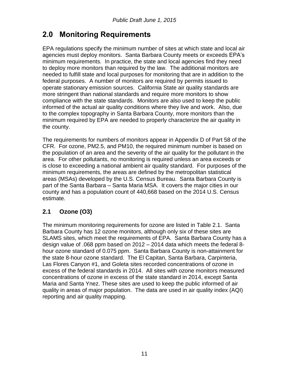## **2.0 Monitoring Requirements**

EPA regulations specify the minimum number of sites at which state and local air agencies must deploy monitors. Santa Barbara County meets or exceeds EPA's minimum requirements. In practice, the state and local agencies find they need to deploy more monitors than required by the law. The additional monitors are needed to fulfill state and local purposes for monitoring that are in addition to the federal purposes. A number of monitors are required by permits issued to operate stationary emission sources. California State air quality standards are more stringent than national standards and require more monitors to show compliance with the state standards. Monitors are also used to keep the public informed of the actual air quality conditions where they live and work. Also, due to the complex topography in Santa Barbara County, more monitors than the minimum required by EPA are needed to properly characterize the air quality in the county.

The requirements for numbers of monitors appear in Appendix D of Part 58 of the CFR. For ozone, PM2.5, and PM10, the required minimum number is based on the population of an area and the severity of the air quality for the pollutant in the area. For other pollutants, no monitoring is required unless an area exceeds or is close to exceeding a national ambient air quality standard. For purposes of the minimum requirements, the areas are defined by the metropolitan statistical areas (MSAs) developed by the U.S. Census Bureau. Santa Barbara County is part of the Santa Barbara – Santa Maria MSA. It covers the major cities in our county and has a population count of 440,668 based on the 2014 U.S. Census estimate.

### **2.1 Ozone (O3)**

The minimum monitoring requirements for ozone are listed in Table 2.1. Santa Barbara County has 12 ozone monitors, although only six of these sites are SLAMS sites, which meet the requirements of EPA. Santa Barbara County has a design value of .068 ppm based on 2012 – 2014 data which meets the federal 8 hour ozone standard of 0.075 ppm. Santa Barbara County is non-attainment for the state 8-hour ozone standard. The El Capitan, Santa Barbara, Carpinteria, Las Flores Canyon #1, and Goleta sites recorded concentrations of ozone in excess of the federal standards in 2014. All sites with ozone monitors measured concentrations of ozone in excess of the state standard in 2014, except Santa Maria and Santa Ynez. These sites are used to keep the public informed of air quality in areas of major population. The data are used in air quality index (AQI) reporting and air quality mapping.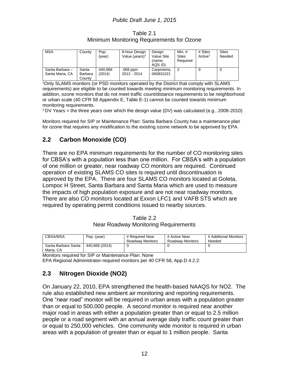Table 2.1 Minimum Monitoring Requirements for Ozone

| <b>MSA</b>                         | County                     | Pop.<br>(vear)    | 8-hour Design<br>Value (years) <sup>2</sup> | Design<br>Value Site<br>(name.<br>AQS ID) | Min. $#$<br><b>Sites</b><br>Required | # Sites<br>Active <sup>1</sup> | <b>Sites</b><br>Needed |
|------------------------------------|----------------------------|-------------------|---------------------------------------------|-------------------------------------------|--------------------------------------|--------------------------------|------------------------|
| Santa Barbara -<br>Santa Maria, CA | Santa<br>Barbara<br>Countv | 440,668<br>(2014) | .068 ppm<br>2012 - 2014                     | Carpinteria,<br>060831021                 | າ                                    | 9                              | 0                      |

<sup>1</sup>Only SLAMS monitors (or PSD monitors operated by the District that comply with SLAMS requirements) are eligible to be counted towards meeting minimum monitoring requirements. In addition, ozone monitors that do not meet traffic count/distance requirements to be neighborhood or urban scale (40 CFR 58 Appendix E, Table E-1) cannot be counted towards minimum monitoring requirements.

 $2$  DV Years = the three years over which the design value (DV) was calculated (e.g., 2008-2010)

Monitors required for SIP or Maintenance Plan: Santa Barbara County has a maintenance plan for ozone that requires any modification to the existing ozone network to be approved by EPA.

### **2.2 Carbon Monoxide (CO)**

There are no EPA minimum requirements for the number of CO monitoring sites for CBSA's with a population less than one million. For CBSA's with a population of one million or greater, near roadway CO monitors are required. Continued operation of existing SLAMS CO sites is required until discontinuation is approved by the EPA. There are four SLAMS CO monitors located at Goleta, Lompoc H Street, Santa Barbara and Santa Maria which are used to measure the impacts of high population exposure and are not near roadway monitors. There are also CO monitors located at Exxon LFC1 and VAFB STS which are required by operating permit conditions issued to nearby sources.

Table 2.2 Near Roadway Monitoring Requirements

| <b>CBSA/MSA</b>                  | Pop. (year)    | # Required Near<br><b>Roadway Monitors</b> | # Active Near<br>Roadway Monitors | # Additional Monitors<br>Needed |
|----------------------------------|----------------|--------------------------------------------|-----------------------------------|---------------------------------|
| Santa Barbara Santa<br>Maria, CA | 440.668 (2014) |                                            |                                   |                                 |

Monitors required for SIP or Maintenance Plan: None

EPA Regional Administrator-required monitors per 40 CFR 58, App.D 4.2.2:

### **2.3 Nitrogen Dioxide (NO2)**

On January 22, 2010, EPA strengthened the health-based NAAQS for NO2. The rule also established new ambient air monitoring and reporting requirements. One "near road" monitor will be required in urban areas with a population greater than or equal to 500,000 people. A second monitor is required near another major road in areas with either a population greater than or equal to 2.5 million people or a road segment with an annual average daily traffic count greater than or equal to 250,000 vehicles. One community wide monitor is required in urban areas with a population of greater than or equal to 1 million people. Santa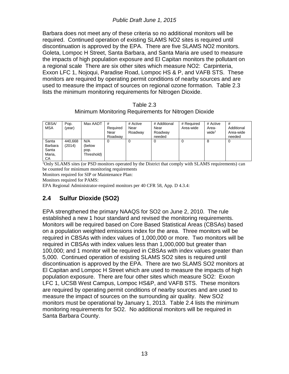Barbara does not meet any of these criteria so no additional monitors will be required. Continued operation of existing SLAMS NO2 sites is required until discontinuation is approved by the EPA. There are five SLAMS NO2 monitors. Goleta, Lompoc H Street, Santa Barbara, and Santa Maria are used to measure the impacts of high population exposure and El Capitan monitors the pollutant on a regional scale There are six other sites which measure NO2: Carpinteria, Exxon LFC 1, Nojoqui, Paradise Road, Lompoc HS & P, and VAFB STS. These monitors are required by operating permit conditions of nearby sources and are used to measure the impact of sources on regional ozone formation. Table 2.3 lists the minimum monitoring requirements for Nitrogen Dioxide.

Table 2.3 Minimum Monitoring Requirements for Nitrogen Dioxide

| CBSA/<br><b>MSA</b>                       | Pop.<br>(year)    | Max AADT                            | #<br>Required<br>Near<br>Roadway | # Active<br>Near<br>Roadway | # Additional<br>Near<br>Roadway<br>needed | # Required<br>Area-wide | # Active<br>Area-<br>wide <sup>1</sup> | #<br>Additional<br>Area-wide<br>needed |
|-------------------------------------------|-------------------|-------------------------------------|----------------------------------|-----------------------------|-------------------------------------------|-------------------------|----------------------------------------|----------------------------------------|
| Santa<br>Barbara<br>Santa<br>Maria,<br>СA | 440,668<br>(2014) | N/A<br>(below<br>pop.<br>Threshold) | O                                | O                           | 0                                         | 0                       | 8                                      | 0                                      |

<sup>1</sup>Only SLAMS sites (or PSD monitors operated by the District that comply with SLAMS requirements) can be counted for minimum monitoring requirements

Monitors required for SIP or Maintenance Plan:

Monitors required for PAMS:

EPA Regional Administrator-required monitors per 40 CFR 58, App. D 4.3.4:

### **2.4 Sulfur Dioxide (SO2)**

EPA strengthened the primary NAAQS for SO2 on June 2, 2010. The rule established a new 1 hour standard and revised the monitoring requirements. Monitors will be required based on Core Based Statistical Areas (CBSAs) based on a population weighted emissions index for the area. Three monitors will be required in CBSAs with index values of 1,000,000 or more. Two monitors will be required in CBSAs with index values less than 1,000,000 but greater than 100,000; and 1 monitor will be required in CBSAs with index values greater than 5,000. Continued operation of existing SLAMS SO2 sites is required until discontinuation is approved by the EPA. There are two SLAMS SO2 monitors at El Capitan and Lompoc H Street which are used to measure the impacts of high population exposure. There are four other sites which measure SO2: Exxon LFC 1, UCSB West Campus, Lompoc HS&P, and VAFB STS. These monitors are required by operating permit conditions of nearby sources and are used to measure the impact of sources on the surrounding air quality. New SO2 monitors must be operational by January 1, 2013. Table 2.4 lists the minimum monitoring requirements for SO2. No additional monitors will be required in Santa Barbara County.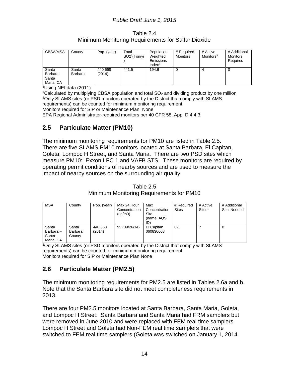Table 2.4 Minimum Monitoring Requirements for Sulfur Dioxide

| <b>CBSA/MSA</b>                        | County           | Pop. (year)       | Total<br>SO2 <sup>1</sup> (Ton/yr) | Population<br>Weighted<br><b>Emissions</b><br>Index $^2$ | # Required<br>Monitors | # Active<br>Monitors <sup>3</sup> | # Additional<br>Monitors<br>Required |
|----------------------------------------|------------------|-------------------|------------------------------------|----------------------------------------------------------|------------------------|-----------------------------------|--------------------------------------|
| Santa<br>Barbara<br>Santa<br>Maria, CA | Santa<br>Barbara | 440.668<br>(2014) | 441.5                              | 194.6                                                    | 0                      |                                   | 0                                    |

<sup>1</sup>Using NEI data (2011)

 $2$ Calculated by multiplying CBSA population and total  $SO<sub>2</sub>$  and dividing product by one million <sup>3</sup>Only SLAMS sites (or PSD monitors operated by the District that comply with SLAMS requirements) can be counted for minimum monitoring requirement Monitors required for SIP or Maintenance Plan: None

EPA Regional Administrator-required monitors per 40 CFR 58, App. D 4.4.3:

### **2.5 Particulate Matter (PM10)**

The minimum monitoring requirements for PM10 are listed in Table 2.5. There are five SLAMS PM10 monitors located at Santa Barbara, El Capitan, Goleta, Lompoc H Street, and Santa Maria. There are two PSD sites which measure PM10: Exxon LFC 1 and VAFB STS. These monitors are required by operating permit conditions of nearby sources and are used to measure the impact of nearby sources on the surrounding air quality.

| <b>MSA</b>                              | County                     | Pop. (year)       | Max 24 Hour<br>Concentration<br>(ua/m3) | Max<br>Concentration<br>Site<br>(name, AQS<br>ID) | # Required<br><b>Sites</b> | # Active<br>Sites <sup>1</sup> | # Additional<br>SitesNeeded |
|-----------------------------------------|----------------------------|-------------------|-----------------------------------------|---------------------------------------------------|----------------------------|--------------------------------|-----------------------------|
| Santa<br>Barbara-<br>Santa<br>Maria, CA | Santa<br>Barbara<br>County | 440.668<br>(2014) | 95 (09/26/14)                           | El Capitan<br>060830008                           | $0 - 1$                    |                                | 0                           |

Table 2.5 Minimum Monitoring Requirements for PM10

<sup>1</sup>Only SLAMS sites (or PSD monitors operated by the District that comply with SLAMS requirements) can be counted for minimum monitoring requirement Monitors required for SIP or Maintenance Plan:None

### **2.6 Particulate Matter (PM2.5)**

The minimum monitoring requirements for PM2.5 are listed in Tables 2.6a and b. Note that the Santa Barbara site did not meet completeness requirements in 2013.

There are four PM2.5 monitors located at Santa Barbara, Santa Maria, Goleta, and Lompoc H Street. Santa Barbara and Santa Maria had FRM samplers but were removed in June 2010 and were replaced with FEM real time samplers. Lompoc H Street and Goleta had Non-FEM real time samplers that were switched to FEM real time samplers (Goleta was switched on January 1, 2014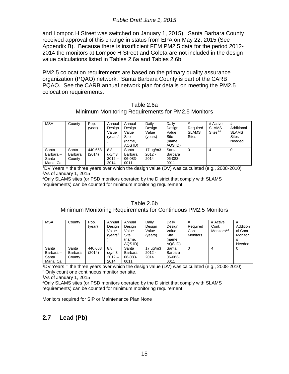and Lompoc H Street was switched on January 1, 2015). Santa Barbara County received approval of this change in status from EPA on May 22, 2015 (See Appendix B). Because there is insufficient FEM PM2.5 data for the period 2012- 2014 the monitors at Lompoc H Street and Goleta are not included in the design value calculations listed in Tables 2.6a and Tables 2.6b.

PM2.5 colocation requirements are based on the primary quality assurance organization (PQAO) network. Santa Barbara County is part of the CARB PQAO. See the CARB annual network plan for details on meeting the PM2.5 colocation requirements.

|                                                    | Table 2.6a |  |
|----------------------------------------------------|------------|--|
| Minimum Monitoring Requirements for PM2.5 Monitors |            |  |

| <b>MSA</b>                              | County                     | Pop.<br>(year)    | Annual<br>Design<br>Value<br>(vears <sup>1</sup> | Annual<br>Design<br>Value<br>Site<br>(name,<br>AQS ID) | Daily<br>Design<br>Value<br>(years)     | Daily<br>Design<br>Value<br>Site<br>(name,<br>AQS ID) | #<br>Required<br><b>SLAMS</b><br><b>Sites</b> | # Active<br><b>SLAMS</b><br>$\textsf{Sites}^{3,4}$ | #<br>Additional<br><b>SLAMS</b><br><b>Sites</b><br>Needed |
|-----------------------------------------|----------------------------|-------------------|--------------------------------------------------|--------------------------------------------------------|-----------------------------------------|-------------------------------------------------------|-----------------------------------------------|----------------------------------------------------|-----------------------------------------------------------|
| Santa<br>Barbara-<br>Santa<br>Maria, Ca | Santa<br>Barbara<br>County | 440,668<br>(2014) | 8.8<br>uq/m3<br>$2012 -$<br>2014                 | Santa<br>Barbara<br>06-083-<br>0011                    | $17 \text{ uq/m}$ 3<br>$2012 -$<br>2014 | Santa<br><b>Barbara</b><br>06-083-<br>0011            | 0                                             | 4                                                  | 0                                                         |

 $1\overline{D}V$  Years = the three years over which the design value (DV) was calculated (e.g., 2008-2010) <sup>3</sup>As of January 1, 2015

<sup>4</sup>Only SLAMS sites (or PSD monitors operated by the District that comply with SLAMS requirements) can be counted for minimum monitoring requirement

#### Table 2.6b Minimum Monitoring Requirements for Continuous PM2.5 Monitors

| <b>MSA</b>                              | County                     | Pop.<br>(vear)    | Annual<br>Design<br>Value<br>(years <sup>1</sup> ) | Annual<br>Design<br>Value<br>Site<br>(name,<br>AQS ID) | Daily<br>Design<br>Value<br>(vears)     | Daily<br>Design<br>Value<br>Site<br>(name,<br>AQS ID) | #<br>Required<br>Cont.<br><b>Monitors</b> | # Active<br>Cont.<br>Monitors <sup>3,4</sup> | #<br>Addition<br>al Cont.<br>Monitor<br>$s^2$<br>Needed |
|-----------------------------------------|----------------------------|-------------------|----------------------------------------------------|--------------------------------------------------------|-----------------------------------------|-------------------------------------------------------|-------------------------------------------|----------------------------------------------|---------------------------------------------------------|
| Santa<br>Barbara-<br>Santa<br>Maria, Ca | Santa<br>Barbara<br>County | 440,668<br>(2014) | 8.8<br>uq/m3<br>$2012 -$<br>2014                   | Santa<br>Barbara<br>06-083-<br>0011                    | $17 \text{ uq/m}$ 3<br>$2012 -$<br>2014 | Santa<br><b>Barbara</b><br>06-083-<br>0011            |                                           | 4                                            | 0                                                       |

 $1\overline{D}V$  Years = the three years over which the design value (DV) was calculated (e.g., 2008-2010) <sup>2</sup> Only count one continuous monitor per site.

<sup>3</sup>As of January 1, 2015

<sup>4</sup>Only SLAMS sites (or PSD monitors operated by the District that comply with SLAMS requirements) can be counted for minimum monitoring requirement

Monitors required for SIP or Maintenance Plan:None

### **2.7 Lead (Pb)**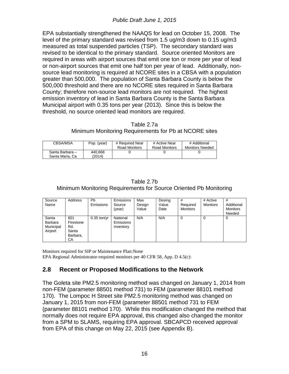EPA substantially strengthened the NAAQS for lead on October 15, 2008. The level of the primary standard was revised from 1.5 ug/m3 down to 0.15 ug/m3 measured as total suspended particles (TSP). The secondary standard was revised to be identical to the primary standard. Source oriented Monitors are required in areas with airport sources that emit one ton or more per year of lead or non-airport sources that emit one half ton per year of lead. Additionally, nonsource lead monitoring is required at NCORE sites in a CBSA with a population greater than 500,000. The population of Santa Barbara County is below the 500,000 threshold and there are no NCORE sites required in Santa Barbara County; therefore non-source lead monitors are not required. The highest emission inventory of lead in Santa Barbara County is the Santa Barbara Municipal airport with 0.35 tons per year (2013). Since this is below the threshold, no source oriented lead monitors are required.

#### Table 2.7a

#### Minimum Monitoring Requirements for Pb at NCORE sites

| CBSA/MSA        | Pop. (year) | # Required Near | # Active Near | # Additional           |
|-----------------|-------------|-----------------|---------------|------------------------|
|                 |             | Road Monitors   | Road Monitors | <b>Monitors Needed</b> |
| Santa Barbara - | 440.668     |                 |               |                        |
| Santa Maria, Ca | (2014)      |                 |               |                        |

| Table 2.7b                                                        |
|-------------------------------------------------------------------|
| Minimum Monitoring Requirements for Source Oriented Pb Monitoring |

| Source<br>Name                           | Address                                            | Pb<br>Emissions | Emissions<br>Source<br>(vear)      | Max<br>Design<br>Value | Desing<br>Value<br>Date | #<br>Required<br>Monitors | # Active<br><b>Monitors</b> | #<br>Additional<br>Monitors<br>Needed |
|------------------------------------------|----------------------------------------------------|-----------------|------------------------------------|------------------------|-------------------------|---------------------------|-----------------------------|---------------------------------------|
| Santa<br>Barbara<br>Municipal<br>Airport | 601<br>Firestone<br>Rd.<br>Santa<br>Barbara,<br>CA | $0.35$ ton/yr   | National<br>Emissions<br>Inventory | N/A                    | N/A                     | 0                         | 0                           | 0                                     |

Monitors required for SIP or Maintenance Plan:None EPA Regional Administrator-required monitors per 40 CFR 58, App. D 4.5(c):

### **2.8 Recent or Proposed Modifications to the Network**

The Goleta site PM2.5 monitoring method was changed on January 1, 2014 from non-FEM (parameter 88501 method 731) to FEM (parameter 88101 method 170). The Lompoc H Street site PM2.5 monitoring method was changed on January 1, 2015 from non-FEM (parameter 88501 method 731 to FEM (parameter 88101 method 170). While this modification changed the method that normally does not require EPA approval, this changed also changed the monitor from a SPM to SLAMS, requiring EPA approval. SBCAPCD received approval from EPA of this change on May 22, 2015 (see Appendix B).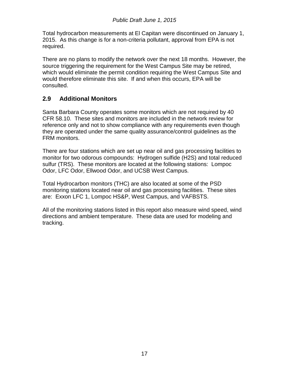Total hydrocarbon measurements at El Capitan were discontinued on January 1, 2015. As this change is for a non-criteria pollutant, approval from EPA is not required.

There are no plans to modify the network over the next 18 months. However, the source triggering the requirement for the West Campus Site may be retired, which would eliminate the permit condition requiring the West Campus Site and would therefore eliminate this site. If and when this occurs, EPA will be consulted.

#### **2.9 Additional Monitors**

Santa Barbara County operates some monitors which are not required by 40 CFR 58.10. These sites and monitors are included in the network review for reference only and not to show compliance with any requirements even though they are operated under the same quality assurance/control guidelines as the FRM monitors.

There are four stations which are set up near oil and gas processing facilities to monitor for two odorous compounds: Hydrogen sulfide (H2S) and total reduced sulfur (TRS). These monitors are located at the following stations: Lompoc Odor, LFC Odor, Ellwood Odor, and UCSB West Campus.

Total Hydrocarbon monitors (THC) are also located at some of the PSD monitoring stations located near oil and gas processing facilities. These sites are: Exxon LFC 1, Lompoc HS&P, West Campus, and VAFBSTS.

All of the monitoring stations listed in this report also measure wind speed, wind directions and ambient temperature. These data are used for modeling and tracking.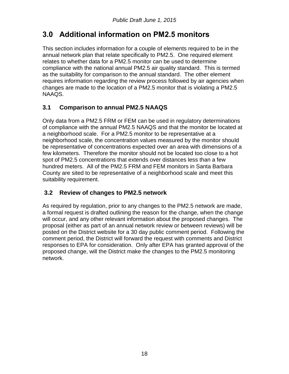# **3.0 Additional information on PM2.5 monitors**

This section includes information for a couple of elements required to be in the annual network plan that relate specifically to PM2.5. One required element relates to whether data for a PM2.5 monitor can be used to determine compliance with the national annual PM2.5 air quality standard. This is termed as the suitability for comparison to the annual standard. The other element requires information regarding the review process followed by air agencies when changes are made to the location of a PM2.5 monitor that is violating a PM2.5 NAAQS.

## **3.1 Comparison to annual PM2.5 NAAQS**

Only data from a PM2.5 FRM or FEM can be used in regulatory determinations of compliance with the annual PM2.5 NAAQS and that the monitor be located at a neighborhood scale. For a PM2.5 monitor to be representative at a neighborhood scale, the concentration values measured by the monitor should be representative of concentrations expected over an area with dimensions of a few kilometers. Therefore the monitor should not be located too close to a hot spot of PM2.5 concentrations that extends over distances less than a few hundred meters. All of the PM2.5 FRM and FEM monitors in Santa Barbara County are sited to be representative of a neighborhood scale and meet this suitability requirement.

### **3.2 Review of changes to PM2.5 network**

As required by regulation, prior to any changes to the PM2.5 network are made, a formal request is drafted outlining the reason for the change, when the change will occur, and any other relevant information about the proposed changes. The proposal (either as part of an annual network review or between reviews) will be posted on the District website for a 30 day public comment period. Following the comment period, the District will forward the request with comments and District responses to EPA for consideration. Only after EPA has granted approval of the proposed change, will the District make the changes to the PM2.5 monitoring network.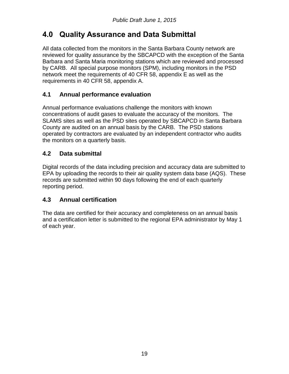# **4.0 Quality Assurance and Data Submittal**

All data collected from the monitors in the Santa Barbara County network are reviewed for quality assurance by the SBCAPCD with the exception of the Santa Barbara and Santa Maria monitoring stations which are reviewed and processed by CARB. All special purpose monitors (SPM), including monitors in the PSD network meet the requirements of 40 CFR 58, appendix E as well as the requirements in 40 CFR 58, appendix A.

### **4.1 Annual performance evaluation**

Annual performance evaluations challenge the monitors with known concentrations of audit gases to evaluate the accuracy of the monitors. The SLAMS sites as well as the PSD sites operated by SBCAPCD in Santa Barbara County are audited on an annual basis by the CARB. The PSD stations operated by contractors are evaluated by an independent contractor who audits the monitors on a quarterly basis.

### **4.2 Data submittal**

Digital records of the data including precision and accuracy data are submitted to EPA by uploading the records to their air quality system data base (AQS). These records are submitted within 90 days following the end of each quarterly reporting period.

### **4.3 Annual certification**

The data are certified for their accuracy and completeness on an annual basis and a certification letter is submitted to the regional EPA administrator by May 1 of each year.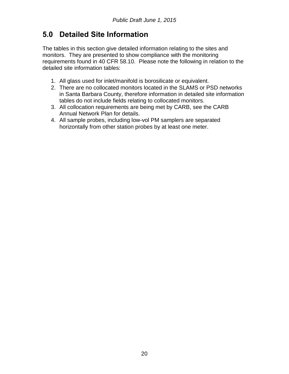# **5.0 Detailed Site Information**

The tables in this section give detailed information relating to the sites and monitors. They are presented to show compliance with the monitoring requirements found in 40 CFR 58.10. Please note the following in relation to the detailed site information tables:

- 1. All glass used for inlet/manifold is borosilicate or equivalent.
- 2. There are no collocated monitors located in the SLAMS or PSD networks in Santa Barbara County, therefore information in detailed site information tables do not include fields relating to collocated monitors.
- 3. All collocation requirements are being met by CARB, see the CARB Annual Network Plan for details.
- 4. All sample probes, including low-vol PM samplers are separated horizontally from other station probes by at least one meter.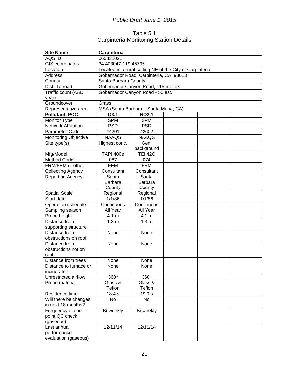### Table 5.1 Carpinteria Monitoring Station Details

| <b>Site Name</b>            | Carpinteria                      |                                                          |  |  |  |  |  |  |
|-----------------------------|----------------------------------|----------------------------------------------------------|--|--|--|--|--|--|
| AQS ID                      | 060831021                        |                                                          |  |  |  |  |  |  |
| <b>GIS coordinates</b>      |                                  | 34.403047-119.45795                                      |  |  |  |  |  |  |
| Location                    |                                  | Located in a rural setting NE of the City of Carpinteria |  |  |  |  |  |  |
| <b>Address</b>              |                                  | Gobernador Road, Carpinteria, CA 93013                   |  |  |  |  |  |  |
| County                      | Santa Barbara County             |                                                          |  |  |  |  |  |  |
| Dist. To road               |                                  | Gobernador Canyon Road, 115 meters                       |  |  |  |  |  |  |
| Traffic count (AADT,        |                                  | Gobernador Canyon Road - 50 est.                         |  |  |  |  |  |  |
| year)                       |                                  |                                                          |  |  |  |  |  |  |
| Groundcover                 | Grass                            |                                                          |  |  |  |  |  |  |
| Representative area         |                                  | MSA (Santa Barbara - Santa Maria, CA)                    |  |  |  |  |  |  |
| <b>Pollutant, POC</b>       | O3,1                             | <b>NO2,1</b>                                             |  |  |  |  |  |  |
| <b>Monitor Type</b>         | <b>SPM</b>                       | <b>SPM</b>                                               |  |  |  |  |  |  |
| <b>Network Affiliation</b>  | <b>PSD</b>                       | <b>PSD</b>                                               |  |  |  |  |  |  |
| Parameter Code              | 44201                            | 42602                                                    |  |  |  |  |  |  |
| <b>Monitoring Objective</b> | <b>NAAQS</b>                     | <b>NAAQS</b>                                             |  |  |  |  |  |  |
| Site type(s)                | Highest conc.                    | Gen.                                                     |  |  |  |  |  |  |
|                             |                                  | background                                               |  |  |  |  |  |  |
| Mfg/Model                   | <b>TAPI 400e</b>                 | <b>TEI 42C</b>                                           |  |  |  |  |  |  |
| Method Code                 | 087                              | 074                                                      |  |  |  |  |  |  |
| FRM/FEM or other            | <b>FEM</b>                       | <b>FRM</b>                                               |  |  |  |  |  |  |
| <b>Collecting Agency</b>    | Consultant                       | Consultant                                               |  |  |  |  |  |  |
| <b>Reporting Agency</b>     | Santa<br>Santa                   |                                                          |  |  |  |  |  |  |
|                             | <b>Barbara</b><br><b>Barbara</b> |                                                          |  |  |  |  |  |  |
|                             | County<br>County                 |                                                          |  |  |  |  |  |  |
| <b>Spatial Scale</b>        | Regional                         | Regional                                                 |  |  |  |  |  |  |
| Start date                  | 1/1/86                           | 1/1/86                                                   |  |  |  |  |  |  |
| Operation schedule          | Continuous                       | Continuous                                               |  |  |  |  |  |  |
| Sampling season             | All Year                         | All Year                                                 |  |  |  |  |  |  |
| Probe height                | 4.1 m                            | 4.1 m                                                    |  |  |  |  |  |  |
| Distance from               | 1.3 <sub>m</sub>                 | 1.3 <sub>m</sub>                                         |  |  |  |  |  |  |
| supporting structure        |                                  |                                                          |  |  |  |  |  |  |
| Distance from               | None                             | None                                                     |  |  |  |  |  |  |
| obstructions on roof        |                                  |                                                          |  |  |  |  |  |  |
| Distance from               | None                             | None                                                     |  |  |  |  |  |  |
| obstructions not on         |                                  |                                                          |  |  |  |  |  |  |
| roof                        |                                  |                                                          |  |  |  |  |  |  |
| Distance from trees         | None                             | None                                                     |  |  |  |  |  |  |
| Distance to furnace or      | None                             | None                                                     |  |  |  |  |  |  |
| incinerator                 |                                  |                                                          |  |  |  |  |  |  |
| Unrestricted airflow        | 360°                             | 360°                                                     |  |  |  |  |  |  |
| Probe material              | Glass &                          | Glass &                                                  |  |  |  |  |  |  |
|                             | Teflon                           | Teflon                                                   |  |  |  |  |  |  |
| Residence time              | 18.4 s                           | 19.9 s                                                   |  |  |  |  |  |  |
| Will there be changes       | No                               | No                                                       |  |  |  |  |  |  |
| in next 18 months?          |                                  |                                                          |  |  |  |  |  |  |
| Frequency of one-           | Bi-weekly                        | Bi-weekly                                                |  |  |  |  |  |  |
| point QC check              |                                  |                                                          |  |  |  |  |  |  |
| (gaseous)                   |                                  |                                                          |  |  |  |  |  |  |
| Last annual                 | 12/11/14                         | 12/11/14                                                 |  |  |  |  |  |  |
| performance                 |                                  |                                                          |  |  |  |  |  |  |
| evaluation (gaseous)        |                                  |                                                          |  |  |  |  |  |  |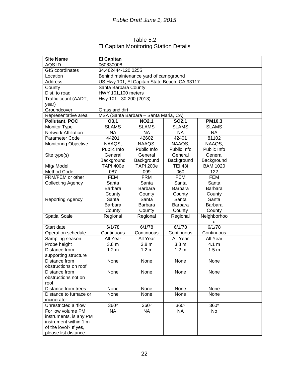### Table 5.2 El Capitan Monitoring Station Details

| <b>Site Name</b>                               | <b>El Capitan</b>       |                                              |                    |                  |  |  |  |  |
|------------------------------------------------|-------------------------|----------------------------------------------|--------------------|------------------|--|--|--|--|
| <b>AQSID</b>                                   | 060830008               |                                              |                    |                  |  |  |  |  |
| <b>GIS</b> coordinates                         | 34.462444-120.0255      |                                              |                    |                  |  |  |  |  |
| Location                                       |                         | Behind maintenance yard of campground        |                    |                  |  |  |  |  |
| <b>Address</b>                                 |                         | US Hwy 101, El Capitan State Beach, CA 93117 |                    |                  |  |  |  |  |
| County                                         | Santa Barbara County    |                                              |                    |                  |  |  |  |  |
| Dist. to road                                  | HWY 101,100 meters      |                                              |                    |                  |  |  |  |  |
| Traffic count (AADT,                           | Hwy 101 - 30,200 (2013) |                                              |                    |                  |  |  |  |  |
| year)                                          |                         |                                              |                    |                  |  |  |  |  |
| Groundcover                                    | Grass and dirt          |                                              |                    |                  |  |  |  |  |
| Representative area                            |                         | MSA (Santa Barbara - Santa Maria, CA)        |                    |                  |  |  |  |  |
| Pollutant, POC                                 | O3,1                    | <b>NO2,1</b>                                 | SO <sub>2</sub> ,1 | <b>PM10,3</b>    |  |  |  |  |
| Monitor Type                                   | <b>SLAMS</b>            | <b>SLAMS</b>                                 | <b>SLAMS</b>       | <b>SLAMS</b>     |  |  |  |  |
| <b>Network Affiliation</b>                     | <b>NA</b>               | <b>NA</b>                                    | <b>NA</b>          | <b>NA</b>        |  |  |  |  |
| Parameter Code                                 | 44201                   | 42602                                        | 42401              | 81102            |  |  |  |  |
| <b>Monitoring Objective</b>                    | NAAQS,                  | NAAQS,                                       | NAAQS,             | NAAQS,           |  |  |  |  |
|                                                | Public Info             | Public Info                                  | Public Info        | Public Info      |  |  |  |  |
| Site type(s)                                   | General                 | General                                      | General            | General          |  |  |  |  |
|                                                | Background              | Background                                   | Background         | Background       |  |  |  |  |
| Mfg/Model                                      | <b>TAPI 400e</b>        | <b>TAPI 200e</b>                             | <b>TEI 43i</b>     | <b>BAM 1020</b>  |  |  |  |  |
| Method Code                                    | 087                     | 099                                          | 060                | 122              |  |  |  |  |
| FRM/FEM or other                               | <b>FEM</b>              | <b>FRM</b>                                   | <b>FEM</b>         | <b>FEM</b>       |  |  |  |  |
| <b>Collecting Agency</b>                       | Santa                   | Santa                                        | Santa              | Santa            |  |  |  |  |
|                                                | Barbara                 | Barbara                                      | <b>Barbara</b>     | <b>Barbara</b>   |  |  |  |  |
|                                                | County                  | County                                       | County             | County           |  |  |  |  |
| Reporting Agency                               | Santa                   | Santa                                        | Santa              | Santa            |  |  |  |  |
|                                                | Barbara                 | <b>Barbara</b>                               | Barbara            | Barbara          |  |  |  |  |
|                                                | County                  | County                                       | County             | County           |  |  |  |  |
| Spatial Scale                                  | Regional                | Regional                                     | Regional           | Neighborhoo      |  |  |  |  |
|                                                |                         |                                              |                    | d                |  |  |  |  |
| Start date                                     | 6/1/78                  | 6/1/78                                       | 6/1/78             | 6/1/78           |  |  |  |  |
| Operation schedule                             | Continuous              | Continuous                                   | Continuous         | Continuous       |  |  |  |  |
| Sampling season                                | All Year                | All Year                                     | All Year           | All Year         |  |  |  |  |
| Probe height                                   | 3.8 <sub>m</sub>        | 3.8 <sub>m</sub>                             | 3.8 <sub>m</sub>   | 4.1 m            |  |  |  |  |
| Distance from                                  | 1.2 <sub>m</sub>        | 1.2 <sub>m</sub>                             | 1.2 <sub>m</sub>   | 1.5 <sub>m</sub> |  |  |  |  |
| supporting structure                           |                         |                                              |                    |                  |  |  |  |  |
| Distance from                                  | None                    | None                                         | None               | None             |  |  |  |  |
| obstructions on roof                           |                         |                                              |                    |                  |  |  |  |  |
| Distance from                                  | None                    | None                                         | None               | None             |  |  |  |  |
| obstructions not on                            |                         |                                              |                    |                  |  |  |  |  |
| roof                                           |                         |                                              |                    |                  |  |  |  |  |
| Distance from trees                            | None                    | None                                         | None               | None             |  |  |  |  |
| Distance to furnace or                         | None                    | None                                         | None               | None             |  |  |  |  |
| incinerator                                    |                         |                                              |                    |                  |  |  |  |  |
| Unrestricted airflow                           | 360°                    | 360°                                         | 360°               | 360°             |  |  |  |  |
| For low volume PM                              | <b>NA</b>               | <b>NA</b>                                    | <b>NA</b>          | No               |  |  |  |  |
| instruments, is any PM                         |                         |                                              |                    |                  |  |  |  |  |
| instrument within 1 m<br>of the lovol? If yes, |                         |                                              |                    |                  |  |  |  |  |
|                                                |                         |                                              |                    |                  |  |  |  |  |
| please list distance                           |                         |                                              |                    |                  |  |  |  |  |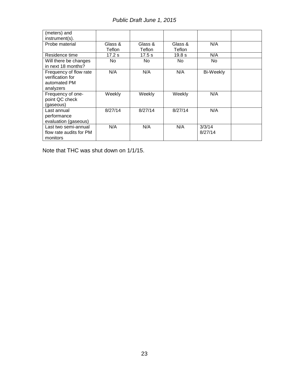| (meters) and<br>instrument(s).                                          |         |         |         |                   |  |
|-------------------------------------------------------------------------|---------|---------|---------|-------------------|--|
| Probe material                                                          | Glass & | Glass & | Glass & | N/A               |  |
|                                                                         | Teflon  | Teflon  | Teflon  |                   |  |
| Residence time                                                          | 17.2s   | 17.5s   | 19.8 s  | N/A               |  |
| Will there be changes<br>in next 18 months?                             | No.     | No.     | No.     | No.               |  |
| Frequency of flow rate<br>verification for<br>automated PM<br>analyzers | N/A     | N/A     | N/A     | Bi-Weekly         |  |
| Frequency of one-<br>point QC check<br>(gaseous)                        | Weekly  | Weekly  | Weekly  | N/A               |  |
| Last annual<br>performance<br>evaluation (gaseous)                      | 8/27/14 | 8/27/14 | 8/27/14 | N/A               |  |
| Last two semi-annual<br>flow rate audits for PM<br>monitors             | N/A     | N/A     | N/A     | 3/3/14<br>8/27/14 |  |

Note that THC was shut down on 1/1/15.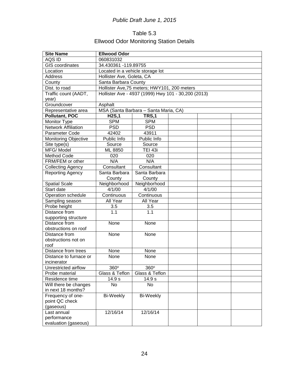## Table 5.3 Ellwood Odor Monitoring Station Details

| <b>Site Name</b>            | <b>Ellwood Odor</b>              |                                                     |  |  |  |  |  |  |
|-----------------------------|----------------------------------|-----------------------------------------------------|--|--|--|--|--|--|
| AQS ID                      | 060831032                        |                                                     |  |  |  |  |  |  |
| <b>GIS coordinates</b>      | 34.430361 -119.89755             |                                                     |  |  |  |  |  |  |
| Location                    | Located in a vehicle storage lot |                                                     |  |  |  |  |  |  |
| <b>Address</b>              | Hollister Ave, Goleta, CA        |                                                     |  |  |  |  |  |  |
| County                      | Santa Barbara County             |                                                     |  |  |  |  |  |  |
| Dist. to road               |                                  | Hollister Ave, 75 meters; HWY101, 200 meters        |  |  |  |  |  |  |
| Traffic count (AADT,        |                                  | Hollister Ave - 4937 (1999) Hwy 101 - 30,200 (2013) |  |  |  |  |  |  |
| year)                       |                                  |                                                     |  |  |  |  |  |  |
| Groundcover                 | Asphalt                          |                                                     |  |  |  |  |  |  |
| Representative area         |                                  | MSA (Santa Barbara - Santa Maria, CA)               |  |  |  |  |  |  |
| Pollutant, POC              | H2S,1                            | TRS,1                                               |  |  |  |  |  |  |
| Monitor Type                | <b>SPM</b>                       | <b>SPM</b>                                          |  |  |  |  |  |  |
| <b>Network Affiliation</b>  | <b>PSD</b>                       | <b>PSD</b>                                          |  |  |  |  |  |  |
| Parameter Code              | 42402                            | 43911                                               |  |  |  |  |  |  |
| <b>Monitoring Objective</b> | Public Info                      | Public Info                                         |  |  |  |  |  |  |
| Site type(s)                | Source                           | Source                                              |  |  |  |  |  |  |
| MFG/Model                   | ML 8850                          | <b>TEI 43i</b>                                      |  |  |  |  |  |  |
| Method Code                 | 020                              | 020                                                 |  |  |  |  |  |  |
| FRM/FEM or other            | N/A                              | N/A                                                 |  |  |  |  |  |  |
| <b>Collecting Agency</b>    | Consultant                       | Consultant                                          |  |  |  |  |  |  |
| <b>Reporting Agency</b>     | Santa Barbara                    | Santa Barbara                                       |  |  |  |  |  |  |
|                             | County<br>County                 |                                                     |  |  |  |  |  |  |
| Spatial Scale               | Neighborhood<br>Neighborhood     |                                                     |  |  |  |  |  |  |
| Start date                  | 4/1/00<br>4/1/00                 |                                                     |  |  |  |  |  |  |
| Operation schedule          | Continuous                       | Continuous                                          |  |  |  |  |  |  |
| Sampling season             | All Year                         | All Year                                            |  |  |  |  |  |  |
| Probe height                | 3.5                              | 3.5                                                 |  |  |  |  |  |  |
| Distance from               | 1.1                              | 1.1                                                 |  |  |  |  |  |  |
| supporting structure        |                                  |                                                     |  |  |  |  |  |  |
| Distance from               | None                             | None                                                |  |  |  |  |  |  |
| obstructions on roof        |                                  |                                                     |  |  |  |  |  |  |
| Distance from               | None                             | None                                                |  |  |  |  |  |  |
| obstructions not on         |                                  |                                                     |  |  |  |  |  |  |
| roof                        |                                  |                                                     |  |  |  |  |  |  |
| Distance from trees         | None                             | None                                                |  |  |  |  |  |  |
| Distance to furnace or      | None                             | None                                                |  |  |  |  |  |  |
| incinerator                 |                                  |                                                     |  |  |  |  |  |  |
| Unrestricted airflow        | 360°                             | 360°                                                |  |  |  |  |  |  |
| Probe material              | Glass & Teflon                   | Glass & Teflon                                      |  |  |  |  |  |  |
| Residence time              | 14.9 s                           | 14.9 s                                              |  |  |  |  |  |  |
| Will there be changes       | No                               | No                                                  |  |  |  |  |  |  |
| in next 18 months?          |                                  |                                                     |  |  |  |  |  |  |
| Frequency of one-           | Bi-Weekly                        | Bi-Weekly                                           |  |  |  |  |  |  |
| point QC check              |                                  |                                                     |  |  |  |  |  |  |
| (gaseous)                   |                                  |                                                     |  |  |  |  |  |  |
| Last annual                 | 12/16/14                         | 12/16/14                                            |  |  |  |  |  |  |
| performance                 |                                  |                                                     |  |  |  |  |  |  |
| evaluation (gaseous)        |                                  |                                                     |  |  |  |  |  |  |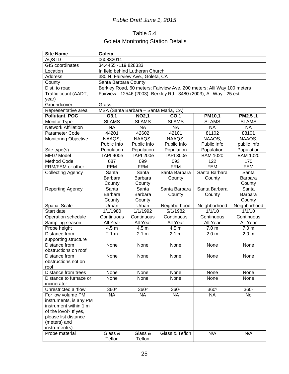## Table 5.4 Goleta Monitoring Station Details

| <b>Site Name</b>            | Goleta                                |                                                                        |                  |                                                                      |                  |  |  |  |  |
|-----------------------------|---------------------------------------|------------------------------------------------------------------------|------------------|----------------------------------------------------------------------|------------------|--|--|--|--|
| AQS ID                      | 060832011                             |                                                                        |                  |                                                                      |                  |  |  |  |  |
| <b>GIS</b> coordinates      |                                       | 34.4455 - 119.828333                                                   |                  |                                                                      |                  |  |  |  |  |
| Location                    |                                       | In field behind Lutheran Church                                        |                  |                                                                      |                  |  |  |  |  |
| <b>Address</b>              | 380 N. Fairview Ave., Goleta, CA      |                                                                        |                  |                                                                      |                  |  |  |  |  |
| County                      | Santa Barbara County                  |                                                                        |                  |                                                                      |                  |  |  |  |  |
| Dist. to road               |                                       | Berkley Road, 60 meters; Fairview Ave, 200 meters; Alli Way 100 meters |                  |                                                                      |                  |  |  |  |  |
| Traffic count (AADT,        |                                       |                                                                        |                  | Fairview - 12546 (2003); Berkley Rd - 3480 (2003); Ali Way - 25 est. |                  |  |  |  |  |
| year)                       |                                       |                                                                        |                  |                                                                      |                  |  |  |  |  |
| Groundcover                 | Grass                                 |                                                                        |                  |                                                                      |                  |  |  |  |  |
| Representative area         | MSA (Santa Barbara - Santa Maria, CA) |                                                                        |                  |                                                                      |                  |  |  |  |  |
| <b>Pollutant, POC</b>       | 03,1                                  | <b>NO2,1</b>                                                           | CO,1             | PM10,1                                                               | PM2.5,1          |  |  |  |  |
| Monitor Type                | <b>SLAMS</b>                          | <b>SLAMS</b>                                                           | <b>SLAMS</b>     | <b>SLAMS</b>                                                         | <b>SLAMS</b>     |  |  |  |  |
| <b>Network Affiliation</b>  | <b>NA</b>                             | <b>NA</b>                                                              | <b>NA</b>        | <b>NA</b>                                                            | <b>NA</b>        |  |  |  |  |
| Parameter Code              | 44201                                 | 42602                                                                  | 42101            | 81102                                                                | 88101            |  |  |  |  |
| <b>Monitoring Objective</b> | NAAQS,                                | NAAQS,                                                                 | NAAQS,           | NAAQS,                                                               | NAAQS,           |  |  |  |  |
|                             | Public Info                           | Public Info                                                            | Public Info      | Public Info                                                          | public Info      |  |  |  |  |
| Site type(s)                | Population                            | Population                                                             | Population       | Population                                                           | Population       |  |  |  |  |
| MFG/Model                   | <b>TAPI 400e</b>                      | <b>TAPI 200e</b>                                                       | <b>TAPI 300e</b> | <b>BAM 1020</b>                                                      | <b>BAM 1020</b>  |  |  |  |  |
| Method Code                 | 087                                   | 099                                                                    | 093              | 122                                                                  | 170              |  |  |  |  |
| FRM/FEM or other            | <b>FEM</b>                            | <b>FRM</b>                                                             | <b>FRM</b>       | <b>FEM</b>                                                           | <b>FEM</b>       |  |  |  |  |
| <b>Collecting Agency</b>    | Santa                                 | Santa                                                                  | Santa Barbara    | Santa Barbara                                                        | Santa            |  |  |  |  |
|                             | <b>Barbara</b>                        | <b>Barbara</b>                                                         | County           | County                                                               | <b>Barbara</b>   |  |  |  |  |
|                             | County                                | County                                                                 |                  |                                                                      | County           |  |  |  |  |
| <b>Reporting Agency</b>     | Santa                                 | Santa                                                                  | Santa Barbara    | Santa Barbara                                                        | Santa            |  |  |  |  |
|                             | Barbara                               | <b>Barbara</b>                                                         | County           | County                                                               | Barbara          |  |  |  |  |
|                             | County                                | County                                                                 |                  |                                                                      | County           |  |  |  |  |
| <b>Spatial Scale</b>        | Urban                                 | Urban                                                                  | Neighborhood     | Neighborhood                                                         | Neighborhood     |  |  |  |  |
| Start date                  | 1/1/1980                              | 1/1/1992                                                               | 5/1/1982         | 1/1/10                                                               | 1/1/10           |  |  |  |  |
| Operation schedule          | Continuous                            | Continuous                                                             | Continuous       | Continuous                                                           | Continuous       |  |  |  |  |
| Sampling season             | All Year                              | All Year                                                               | All Year         | All Year                                                             | All Year         |  |  |  |  |
| Probe height                | 4.5 m                                 | 4.5 m                                                                  | 4.5 m            | 7.0 <sub>m</sub>                                                     | 7.0 <sub>m</sub> |  |  |  |  |
| Distance from               | 2.1 m                                 | 2.1 m                                                                  | 2.1 m            | 2.0 <sub>m</sub>                                                     | 2.0 <sub>m</sub> |  |  |  |  |
| supporting structure        |                                       |                                                                        |                  |                                                                      |                  |  |  |  |  |
| Distance from               | None                                  | None                                                                   | None             | None                                                                 | None             |  |  |  |  |
| obstructions on roof        |                                       |                                                                        |                  |                                                                      |                  |  |  |  |  |
| Distance from               | None                                  | None                                                                   | None             | None                                                                 | None             |  |  |  |  |
| obstructions not on         |                                       |                                                                        |                  |                                                                      |                  |  |  |  |  |
| roof                        |                                       |                                                                        |                  |                                                                      |                  |  |  |  |  |
| Distance from trees         | None                                  | None                                                                   | None             | None                                                                 | None             |  |  |  |  |
| Distance to furnace or      | None                                  | None                                                                   | None             | None                                                                 | None             |  |  |  |  |
| incinerator                 |                                       |                                                                        |                  |                                                                      |                  |  |  |  |  |
| Unrestricted airflow        | 360°                                  | 360°                                                                   | 360°             | 360°                                                                 | $360^\circ$      |  |  |  |  |
| For low volume PM           | <b>NA</b>                             | <b>NA</b>                                                              | <b>NA</b>        | <b>NA</b>                                                            | No               |  |  |  |  |
| instruments, is any PM      |                                       |                                                                        |                  |                                                                      |                  |  |  |  |  |
| instrument within 1 m       |                                       |                                                                        |                  |                                                                      |                  |  |  |  |  |
| of the lovol? If yes,       |                                       |                                                                        |                  |                                                                      |                  |  |  |  |  |
| please list distance        |                                       |                                                                        |                  |                                                                      |                  |  |  |  |  |
| (meters) and                |                                       |                                                                        |                  |                                                                      |                  |  |  |  |  |
| instrument(s).              |                                       |                                                                        |                  |                                                                      |                  |  |  |  |  |
| Probe material              | Glass &                               | Glass &                                                                | Glass & Teflon   | N/A                                                                  | N/A              |  |  |  |  |
|                             | Teflon                                | Teflon                                                                 |                  |                                                                      |                  |  |  |  |  |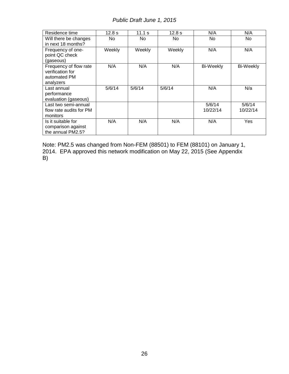| Residence time                                                          | 12.8 s | 11.1 $s$ | 12.8 s | N/A                | N/A                |
|-------------------------------------------------------------------------|--------|----------|--------|--------------------|--------------------|
| Will there be changes<br>in next 18 months?                             | No     | No.      | No.    | No                 | No.                |
| Frequency of one-<br>point QC check<br>(gaseous)                        | Weekly | Weekly   | Weekly | N/A                | N/A                |
| Frequency of flow rate<br>verification for<br>automated PM<br>analyzers | N/A    | N/A      | N/A    | <b>Bi-Weekly</b>   | <b>Bi-Weekly</b>   |
| Last annual<br>performance<br>evaluation (gaseous)                      | 5/6/14 | 5/6/14   | 5/6/14 | N/A                | N/a                |
| Last two semi-annual<br>flow rate audits for PM<br>monitors             |        |          |        | 5/6/14<br>10/22/14 | 5/6/14<br>10/22/14 |
| Is it suitable for<br>comparison against<br>the annual PM2.5?           | N/A    | N/A      | N/A    | N/A                | Yes                |

Note: PM2.5 was changed from Non-FEM (88501) to FEM (88101) on January 1, 2014. EPA approved this network modification on May 22, 2015 (See Appendix B)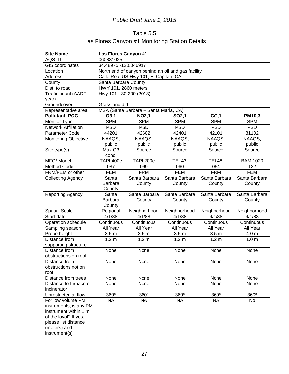## Table 5.5 Las Flores Canyon #1 Monitoring Station Details

| <b>Site Name</b>                      | Las Flores Canyon #1    |                                                    |                    |                  |                  |  |  |  |
|---------------------------------------|-------------------------|----------------------------------------------------|--------------------|------------------|------------------|--|--|--|
| AQS ID                                | 060831025               |                                                    |                    |                  |                  |  |  |  |
| <b>GIS</b> coordinates                |                         | 34.48975 - 120.046917                              |                    |                  |                  |  |  |  |
| Location                              |                         | North end of canyon behind an oil and gas facility |                    |                  |                  |  |  |  |
| <b>Address</b>                        |                         | Calle Real US Hwy 101, El Capitan, CA              |                    |                  |                  |  |  |  |
| County                                | Santa Barbara County    |                                                    |                    |                  |                  |  |  |  |
| Dist. to road                         | HWY 101, 2860 meters    |                                                    |                    |                  |                  |  |  |  |
| Traffic count (AADT,                  | Hwy 101 - 30,200 (2013) |                                                    |                    |                  |                  |  |  |  |
| year)                                 |                         |                                                    |                    |                  |                  |  |  |  |
| Groundcover                           | Grass and dirt          |                                                    |                    |                  |                  |  |  |  |
| Representative area                   |                         | MSA (Santa Barbara - Santa Maria, CA)              |                    |                  |                  |  |  |  |
| <b>Pollutant, POC</b>                 | O3,1                    | <b>NO2,1</b>                                       | SO <sub>2</sub> ,1 | CO,1             | <b>PM10,3</b>    |  |  |  |
| Monitor Type                          | <b>SPM</b>              | <b>SPM</b>                                         | <b>SPM</b>         | <b>SPM</b>       | <b>SPM</b>       |  |  |  |
| <b>Network Affiliation</b>            | <b>PSD</b>              | <b>PSD</b>                                         | <b>PSD</b>         | <b>PSD</b>       | <b>PSD</b>       |  |  |  |
| Parameter Code                        | 44201                   | 42602                                              | 42401              | 42101            | 81102            |  |  |  |
| <b>Monitoring Objective</b>           | NAAQS,                  | NAAQS,                                             | NAAQS,             | NAAQS,           | NAAQS,           |  |  |  |
|                                       | public                  | public                                             | public             | public           | public           |  |  |  |
| Site type(s)                          | Max O3                  | Source                                             | Source             | Source           | Source           |  |  |  |
|                                       | conc.                   |                                                    |                    |                  |                  |  |  |  |
| MFG/Model                             | <b>TAPI 400e</b>        | <b>TAPI 200e</b>                                   | <b>TEI 43i</b>     | <b>TEI 48i</b>   | <b>BAM 1020</b>  |  |  |  |
| Method Code                           | 087                     | 099                                                | 060                | 054              | 122              |  |  |  |
| FRM/FEM or other                      | <b>FEM</b>              | <b>FRM</b>                                         | <b>FEM</b>         | <b>FRM</b>       | <b>FEM</b>       |  |  |  |
| <b>Collecting Agency</b>              | Santa                   | Santa Barbara                                      | Santa Barbara      | Santa Barbara    | Santa Barbara    |  |  |  |
|                                       | <b>Barbara</b>          | County                                             | County             | County           | County           |  |  |  |
|                                       | County                  |                                                    |                    |                  |                  |  |  |  |
| Reporting Agency                      | Santa                   | Santa Barbara                                      | Santa Barbara      | Santa Barbara    | Santa Barbara    |  |  |  |
|                                       | <b>Barbara</b>          | County                                             | County             | County           | County           |  |  |  |
|                                       | County                  |                                                    |                    |                  |                  |  |  |  |
| <b>Spatial Scale</b>                  | Regional                | Neighborhood                                       | Neighborhood       | Neighborhood     | Neighborhood     |  |  |  |
| Start date                            | 4/1/88                  | 4/1/88                                             | 4/1/88             | 4/1/88           | 4/1/88           |  |  |  |
| Operation schedule                    | Continuous              | Continuous                                         | Continuous         | Continuous       | Continuous       |  |  |  |
| Sampling season                       | All Year                | All Year                                           | All Year           | All Year         | All Year         |  |  |  |
| Probe height                          | 3.5 <sub>m</sub>        | 3.5 <sub>m</sub>                                   | 3.5 <sub>m</sub>   | 3.5 <sub>m</sub> | 4.0 m            |  |  |  |
| Distance from                         | 1.2 <sub>m</sub>        | 1.2 <sub>m</sub>                                   | 1.2 <sub>m</sub>   | 1.2 <sub>m</sub> | 1.0 <sub>m</sub> |  |  |  |
| supporting structure<br>Distance from |                         |                                                    |                    |                  |                  |  |  |  |
|                                       | None                    | None                                               | None               | None             | None             |  |  |  |
| obstructions on roof                  |                         |                                                    |                    |                  |                  |  |  |  |
| Distance from                         | None                    | None                                               | None               | None             | None             |  |  |  |
| obstructions not on<br>roof           |                         |                                                    |                    |                  |                  |  |  |  |
| Distance from trees                   | None                    | None                                               | None               | None             | None             |  |  |  |
| Distance to furnace or                | None                    | None                                               | None               | None             | None             |  |  |  |
| incinerator                           |                         |                                                    |                    |                  |                  |  |  |  |
| Unrestricted airflow                  | 360°                    | $360^\circ$                                        | 360°               | 360°             | 360°             |  |  |  |
| For low volume PM                     | <b>NA</b>               | <b>NA</b>                                          | <b>NA</b>          | <b>NA</b>        | No               |  |  |  |
| instruments, is any PM                |                         |                                                    |                    |                  |                  |  |  |  |
| instrument within 1 m                 |                         |                                                    |                    |                  |                  |  |  |  |
| of the lovol? If yes,                 |                         |                                                    |                    |                  |                  |  |  |  |
| please list distance                  |                         |                                                    |                    |                  |                  |  |  |  |
| (meters) and                          |                         |                                                    |                    |                  |                  |  |  |  |
| instrument(s).                        |                         |                                                    |                    |                  |                  |  |  |  |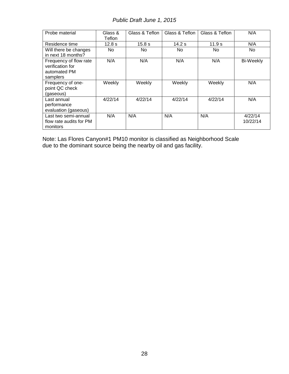| Probe material                                                         | Glass &<br>Teflon | Glass & Teflon | Glass & Teflon | Glass & Teflon | N/A                 |
|------------------------------------------------------------------------|-------------------|----------------|----------------|----------------|---------------------|
| Residence time                                                         | 12.8 <sub>s</sub> | 15.8 s         | 14.2 s         | 11.9 s         | N/A                 |
| Will there be changes<br>in next 18 months?                            | No.               | No.            | No             | No.            | No.                 |
| Frequency of flow rate<br>verification for<br>automated PM<br>samplers | N/A               | N/A            | N/A            | N/A            | <b>Bi-Weekly</b>    |
| Frequency of one-<br>point QC check<br>(gaseous)                       | Weekly            | Weekly         | Weekly         | Weekly         | N/A                 |
| Last annual<br>performance<br>evaluation (gaseous)                     | 4/22/14           | 4/22/14        | 4/22/14        | 4/22/14        | N/A                 |
| Last two semi-annual<br>flow rate audits for PM<br>monitors            | N/A               | N/A            | N/A            | N/A            | 4/22/14<br>10/22/14 |

Note: Las Flores Canyon#1 PM10 monitor is classified as Neighborhood Scale due to the dominant source being the nearby oil and gas facility.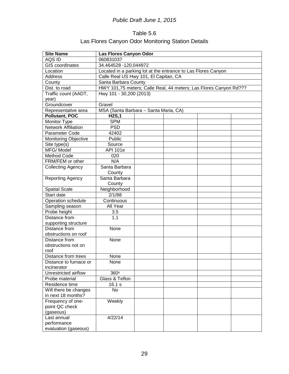## Table 5.6 Las Flores Canyon Odor Monitoring Station Details

| <b>Site Name</b>            | Las Flores Canyon Odor                                            |  |  |  |  |  |  |  |
|-----------------------------|-------------------------------------------------------------------|--|--|--|--|--|--|--|
| AQS ID                      | 060831037                                                         |  |  |  |  |  |  |  |
| <b>GIS</b> coordinates      | 34.464528 -120.044972                                             |  |  |  |  |  |  |  |
| Location                    | Located in a parking lot at the entrance to Las Flores Canyon     |  |  |  |  |  |  |  |
| <b>Address</b>              | Calle Real US Hwy 101, El Capitan, CA                             |  |  |  |  |  |  |  |
| County                      | Santa Barbara County                                              |  |  |  |  |  |  |  |
| Dist. to road               | HWY 101,75 meters; Calle Real, 44 meters; Las Flores Canyon Rd??? |  |  |  |  |  |  |  |
| Traffic count (AADT,        | Hwy 101 - 30,200 (2013)                                           |  |  |  |  |  |  |  |
| year)                       |                                                                   |  |  |  |  |  |  |  |
| Groundcover                 | Gravel                                                            |  |  |  |  |  |  |  |
| Representative area         | MSA (Santa Barbara - Santa Maria, CA)                             |  |  |  |  |  |  |  |
| Pollutant, POC              | H2S,1                                                             |  |  |  |  |  |  |  |
| Monitor Type                | <b>SPM</b>                                                        |  |  |  |  |  |  |  |
| <b>Network Affiliation</b>  | <b>PSD</b>                                                        |  |  |  |  |  |  |  |
| Parameter Code              | 42402                                                             |  |  |  |  |  |  |  |
| <b>Monitoring Objective</b> | Public                                                            |  |  |  |  |  |  |  |
| Site type(s)                | Source                                                            |  |  |  |  |  |  |  |
| MFG/Model                   | <b>API 101e</b>                                                   |  |  |  |  |  |  |  |
| Method Code                 | 020                                                               |  |  |  |  |  |  |  |
| FRM/FEM or other            | N/A                                                               |  |  |  |  |  |  |  |
| <b>Collecting Agency</b>    | Santa Barbara                                                     |  |  |  |  |  |  |  |
|                             | County                                                            |  |  |  |  |  |  |  |
| <b>Reporting Agency</b>     | Santa Barbara                                                     |  |  |  |  |  |  |  |
|                             | County                                                            |  |  |  |  |  |  |  |
| <b>Spatial Scale</b>        | Neighborhood                                                      |  |  |  |  |  |  |  |
| Start date                  | 2/1/88                                                            |  |  |  |  |  |  |  |
| Operation schedule          | Continuous                                                        |  |  |  |  |  |  |  |
| Sampling season             | All Year                                                          |  |  |  |  |  |  |  |
| Probe height                | 3.5                                                               |  |  |  |  |  |  |  |
| Distance from               | 1.1                                                               |  |  |  |  |  |  |  |
| supporting structure        |                                                                   |  |  |  |  |  |  |  |
| Distance from               | None                                                              |  |  |  |  |  |  |  |
| obstructions on roof        |                                                                   |  |  |  |  |  |  |  |
| Distance from               | None                                                              |  |  |  |  |  |  |  |
| obstructions not on         |                                                                   |  |  |  |  |  |  |  |
| roof                        |                                                                   |  |  |  |  |  |  |  |
| Distance from trees         | None                                                              |  |  |  |  |  |  |  |
| Distance to furnace or      | None                                                              |  |  |  |  |  |  |  |
| incinerator                 |                                                                   |  |  |  |  |  |  |  |
| Unrestricted airflow        | 360°                                                              |  |  |  |  |  |  |  |
| Probe material              | Glass & Teflon                                                    |  |  |  |  |  |  |  |
| Residence time              | 16.1 s                                                            |  |  |  |  |  |  |  |
| Will there be changes       | No                                                                |  |  |  |  |  |  |  |
| in next 18 months?          |                                                                   |  |  |  |  |  |  |  |
| Frequency of one-           | Weekly                                                            |  |  |  |  |  |  |  |
| point QC check              |                                                                   |  |  |  |  |  |  |  |
| (gaseous)                   |                                                                   |  |  |  |  |  |  |  |
| Last annual                 | 4/22/14                                                           |  |  |  |  |  |  |  |
| performance                 |                                                                   |  |  |  |  |  |  |  |
| evaluation (gaseous)        |                                                                   |  |  |  |  |  |  |  |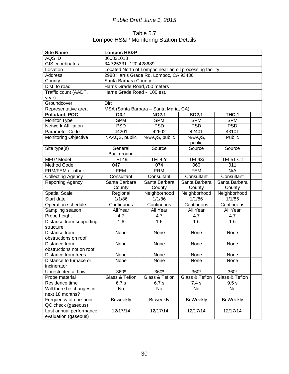### Table 5.7 Lompoc HS&P Monitoring Station Details

| <b>Site Name</b>            | <b>Lompoc HS&amp;P</b>        |                                                         |                        |                  |  |  |  |  |
|-----------------------------|-------------------------------|---------------------------------------------------------|------------------------|------------------|--|--|--|--|
| AQS ID                      | 060831013                     |                                                         |                        |                  |  |  |  |  |
| <b>GIS</b> coordinates      | 34.725331 -120.428689         |                                                         |                        |                  |  |  |  |  |
| Location                    |                               | Located North of Lompoc near an oil processing facility |                        |                  |  |  |  |  |
| <b>Address</b>              |                               | 2988 Harris Grade Rd, Lompoc, CA 93436                  |                        |                  |  |  |  |  |
| County                      | Santa Barbara County          |                                                         |                        |                  |  |  |  |  |
| Dist. to road               | Harris Grade Road, 700 meters |                                                         |                        |                  |  |  |  |  |
| Traffic count (AADT,        | Harris Grade Road - 100 est.  |                                                         |                        |                  |  |  |  |  |
| year)                       |                               |                                                         |                        |                  |  |  |  |  |
| Groundcover                 | Dirt                          |                                                         |                        |                  |  |  |  |  |
| Representative area         |                               | MSA (Santa Barbara - Santa Maria, CA)                   |                        |                  |  |  |  |  |
| <b>Pollutant, POC</b>       | O3,1                          | <b>NO2,1</b>                                            | SO <sub>2</sub> ,1     | THC,1            |  |  |  |  |
| Monitor Type                | <b>SPM</b>                    | <b>SPM</b>                                              | <b>SPM</b>             | <b>SPM</b>       |  |  |  |  |
| <b>Network Affiliation</b>  | <b>PSD</b>                    | <b>PSD</b>                                              | <b>PSD</b>             | <b>PSD</b>       |  |  |  |  |
| Parameter Code              | 44201                         | 42602                                                   | 42401                  | 43101            |  |  |  |  |
| <b>Monitoring Objective</b> | NAAQS, public                 | NAAQS, public                                           | NAAQS,                 | Public           |  |  |  |  |
|                             |                               |                                                         | public                 |                  |  |  |  |  |
| Site type(s)                | General                       | Source                                                  | Source                 | Source           |  |  |  |  |
|                             | Background                    |                                                         |                        |                  |  |  |  |  |
| MFG/Model                   | <b>TEI 49i</b>                | <b>TEI 42c</b>                                          | <b>TEI 43i</b>         | TEI 51 Clt       |  |  |  |  |
| Method Code                 | 047                           | 074                                                     | 060                    | 011              |  |  |  |  |
| FRM/FEM or other            | <b>FEM</b>                    | <b>FRM</b>                                              | <b>FEM</b>             | N/A              |  |  |  |  |
| <b>Collecting Agency</b>    | Consultant                    | Consultant                                              | Consultant             | Consultant       |  |  |  |  |
| Reporting Agency            | Santa Barbara                 | Santa Barbara                                           | Santa Barbara          | Santa Barbara    |  |  |  |  |
|                             | County                        | County                                                  | County                 | County           |  |  |  |  |
| <b>Spatial Scale</b>        | Regional                      | Neighborhood                                            | Neighborhood           | Neighborhood     |  |  |  |  |
| Start date                  | 1/1/86                        | 1/1/86                                                  | 1/1/86                 | 1/1/86           |  |  |  |  |
| Operation schedule          | Continuous                    | Continuous                                              | Continuous             | Continuous       |  |  |  |  |
| Sampling season             | All Year                      | All Year                                                | All Year               | All Year         |  |  |  |  |
| Probe height                | 4.7                           | 4.7                                                     | 4.7                    | 4.7              |  |  |  |  |
| Distance from supporting    | 1.6                           | 1.6                                                     | 1.6                    | 1.6              |  |  |  |  |
| structure                   |                               |                                                         |                        |                  |  |  |  |  |
| Distance from               | None                          | None                                                    | None                   | None             |  |  |  |  |
| obstructions on roof        |                               |                                                         |                        |                  |  |  |  |  |
| Distance from               | None                          | None                                                    | None                   | None             |  |  |  |  |
| obstructions not on roof    |                               |                                                         |                        |                  |  |  |  |  |
| Distance from trees         | None                          | None                                                    | None                   | None             |  |  |  |  |
| Distance to furnace or      | None                          | None                                                    | None                   | None             |  |  |  |  |
| incinerator                 |                               |                                                         |                        |                  |  |  |  |  |
| Unrestricted airflow        | 360°                          | 360°                                                    | $\overline{3}60^\circ$ | 360°             |  |  |  |  |
| Probe material              | Glass & Teflon                | Glass & Teflon                                          | Glass & Teflon         | Glass & Teflon   |  |  |  |  |
| Residence time              | 6.7s                          | 6.7s                                                    | 7.4 s                  | 9.5 s            |  |  |  |  |
| Will there be changes in    | No                            | No                                                      | No                     | No               |  |  |  |  |
| next 18 months?             |                               |                                                         |                        |                  |  |  |  |  |
| Frequency of one-point      | Bi-weekly                     | Bi-weekly                                               | <b>Bi-Weekly</b>       | <b>Bi-Weekly</b> |  |  |  |  |
| QC check (gaseous)          |                               |                                                         |                        |                  |  |  |  |  |
| Last annual performance     | 12/17/14                      | 12/17/14                                                | 12/17/14               | 12/17/14         |  |  |  |  |
| evaluation (gaseous)        |                               |                                                         |                        |                  |  |  |  |  |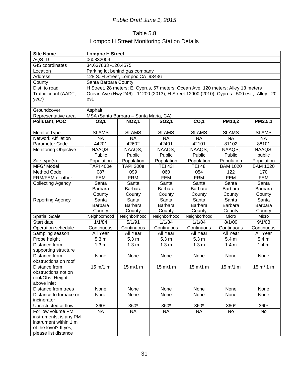## Table 5.8 Lompoc H Street Monitoring Station Details

| <b>Site Name</b>            | <b>Lompoc H Street</b> |                                       |                                                                                          |                  |                  |                  |  |  |
|-----------------------------|------------------------|---------------------------------------|------------------------------------------------------------------------------------------|------------------|------------------|------------------|--|--|
| AQS ID                      | 060832004              |                                       |                                                                                          |                  |                  |                  |  |  |
| <b>GIS</b> coordinates      | 34.637833 - 120.4575   |                                       |                                                                                          |                  |                  |                  |  |  |
| Location                    |                        | Parking lot behind gas company        |                                                                                          |                  |                  |                  |  |  |
| Address                     |                        | 128 S. H Street, Lompoc CA 93436      |                                                                                          |                  |                  |                  |  |  |
| County                      | Santa Barbara County   |                                       |                                                                                          |                  |                  |                  |  |  |
| Dist. to road               |                        |                                       | H Street, 28 meters; E. Cyprus, 57 meters; Ocean Ave, 120 meters; Alley, 13 meters       |                  |                  |                  |  |  |
| Traffic count (AADT,        |                        |                                       | Ocean Ave (Hwy 246) - 11200 (2013); H Street 12900 (2010); Cyprus - 500 est.; Alley - 20 |                  |                  |                  |  |  |
| year)                       | est.                   |                                       |                                                                                          |                  |                  |                  |  |  |
| Groundcover                 | Asphalt                |                                       |                                                                                          |                  |                  |                  |  |  |
| Representative area         |                        | MSA (Santa Barbara - Santa Maria, CA) |                                                                                          |                  |                  |                  |  |  |
| Pollutant, POC              | O3,1                   | <b>NO2,1</b>                          | SO <sub>2</sub> ,1                                                                       | CO,1             | <b>PM10,2</b>    | PM2.5,1          |  |  |
| Monitor Type                | <b>SLAMS</b>           | <b>SLAMS</b>                          | <b>SLAMS</b>                                                                             | <b>SLAMS</b>     | <b>SLAMS</b>     | <b>SLAMS</b>     |  |  |
| <b>Network Affiliation</b>  | <b>NA</b>              | <b>NA</b>                             | <b>NA</b>                                                                                | <b>NA</b>        | <b>NA</b>        | <b>NA</b>        |  |  |
| Parameter Code              | 44201                  | 42602                                 | 42401                                                                                    | 42101            | 81102            | 88101            |  |  |
| <b>Monitoring Objective</b> | NAAQS,                 | NAAQS,                                | NAAQS,                                                                                   | NAAQS,           | NAAQS.           | NAAQS,           |  |  |
|                             | Public                 | Public                                | Public                                                                                   | Public           | Public           | public           |  |  |
| Site type(s)                | Population             | Population                            | Population                                                                               | Population       | Population       | Population       |  |  |
| MFG/Model                   | TAPI 400e              | TAPI 200e                             | <b>TEI 43i</b>                                                                           | <b>TEI 48i</b>   | <b>BAM 1020</b>  | <b>BAM 1020</b>  |  |  |
| <b>Method Code</b>          | 087                    | 099                                   | 060                                                                                      | 054              | 122              | 170              |  |  |
| FRM/FEM or other            | <b>FEM</b>             | <b>FRM</b>                            | <b>FEM</b>                                                                               | <b>FRM</b>       | <b>FEM</b>       | <b>FEM</b>       |  |  |
| <b>Collecting Agency</b>    | Santa                  | Santa                                 | Santa                                                                                    | Santa            | Santa            | Santa            |  |  |
|                             | <b>Barbara</b>         | Barbara                               | Barbara                                                                                  | <b>Barbara</b>   | <b>Barbara</b>   | Barbara          |  |  |
|                             | County                 | County                                | County                                                                                   | County           | County           | County           |  |  |
| <b>Reporting Agency</b>     | Santa                  | Santa                                 | Santa                                                                                    | Santa            | Santa            | Santa            |  |  |
|                             | <b>Barbara</b>         | Barbara                               | Barbara                                                                                  | <b>Barbara</b>   | <b>Barbara</b>   | Barbara          |  |  |
|                             | County                 | County                                | County                                                                                   | County           | County           | County           |  |  |
| <b>Spatial Scale</b>        | Neighborhood           | Neighborhood                          | Neighborhood                                                                             | Neighborhood     | Micro            | Micro            |  |  |
| Start date                  | 1/1/84                 | 5/1/91                                | 1/1/84                                                                                   | 1/1/84           | 8/1/09           | 9/1/08           |  |  |
| Operation schedule          | Continuous             | Continuous                            | Continuous                                                                               | Continuous       | Continuous       | Continuous       |  |  |
| Sampling season             | All Year               | All Year                              | All Year                                                                                 | All Year         | All Year         | All Year         |  |  |
| Probe height                | 5.3 <sub>m</sub>       | 5.3 <sub>m</sub>                      | 5.3 <sub>m</sub>                                                                         | 5.3 <sub>m</sub> | 5.4 <sub>m</sub> | 5.4 m            |  |  |
| Distance from               | 1.3 <sub>m</sub>       | 1.3 <sub>m</sub>                      | 1.3 <sub>m</sub>                                                                         | 1.3 <sub>m</sub> | 1.4 <sub>m</sub> | 1.4 <sub>m</sub> |  |  |
| supporting structure        |                        |                                       |                                                                                          |                  |                  |                  |  |  |
| Distance from               | None                   | None                                  | None                                                                                     | None             | None             | None             |  |  |
| obstructions on roof        |                        |                                       |                                                                                          |                  |                  |                  |  |  |
| Distance from               | 15 m/1 m               | 15 m/1 m                              | 15 m/1 m                                                                                 | 15 m/1 m         | 15 m/1 m         | 15 m/ 1 m        |  |  |
| obstructions not on         |                        |                                       |                                                                                          |                  |                  |                  |  |  |
| roof/Obs. Height            |                        |                                       |                                                                                          |                  |                  |                  |  |  |
| above inlet                 |                        |                                       |                                                                                          |                  |                  |                  |  |  |
| Distance from trees         | None                   | None                                  | None                                                                                     | None             | None             | None             |  |  |
| Distance to furnace or      | None                   | None                                  | None                                                                                     | None             | None             | None             |  |  |
| incinerator                 |                        |                                       |                                                                                          |                  |                  |                  |  |  |
| Unrestricted airflow        | 360°                   | 360°                                  | 360°                                                                                     | 360°             | $360^\circ$      | 360°             |  |  |
| For low volume PM           | <b>NA</b>              | <b>NA</b>                             | <b>NA</b>                                                                                | <b>NA</b>        | No               | No               |  |  |
| instruments, is any PM      |                        |                                       |                                                                                          |                  |                  |                  |  |  |
| instrument within 1 m       |                        |                                       |                                                                                          |                  |                  |                  |  |  |
| of the lovol? If yes,       |                        |                                       |                                                                                          |                  |                  |                  |  |  |
| please list distance        |                        |                                       |                                                                                          |                  |                  |                  |  |  |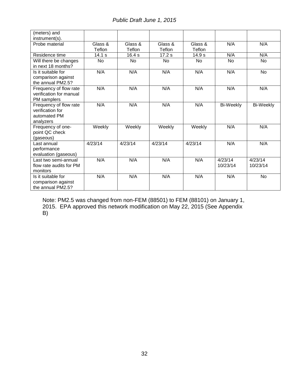*Public Draft June 1, 2015*

| (meters) and<br>instrument(s). |           |         |         |           |                  |                  |
|--------------------------------|-----------|---------|---------|-----------|------------------|------------------|
| Probe material                 | Glass &   | Glass & | Glass & | Glass &   | N/A              | N/A              |
|                                | Teflon    | Teflon  | Teflon  | Teflon    |                  |                  |
| Residence time                 | 14.1 s    | 16.4 s  | 17.2s   | 14.9 s    | N/A              | N/A              |
| Will there be changes          | <b>No</b> | No      | No      | <b>No</b> | <b>No</b>        | No               |
| in next 18 months?             |           |         |         |           |                  |                  |
| Is it suitable for             | N/A       | N/A     | N/A     | N/A       | N/A              | <b>No</b>        |
| comparison against             |           |         |         |           |                  |                  |
| the annual PM2.5?              |           |         |         |           |                  |                  |
| Frequency of flow rate         | N/A       | N/A     | N/A     | N/A       | N/A              | N/A              |
| verification for manual        |           |         |         |           |                  |                  |
| PM samplers                    |           |         |         |           |                  |                  |
| Frequency of flow rate         | N/A       | N/A     | N/A     | N/A       | <b>Bi-Weekly</b> | <b>Bi-Weekly</b> |
| verification for               |           |         |         |           |                  |                  |
| automated PM                   |           |         |         |           |                  |                  |
| analyzers                      |           |         |         |           |                  |                  |
| Frequency of one-              | Weekly    | Weekly  | Weekly  | Weekly    | N/A              | N/A              |
| point QC check                 |           |         |         |           |                  |                  |
| (gaseous)                      |           |         |         |           |                  |                  |
| Last annual                    | 4/23/14   | 4/23/14 | 4/23/14 | 4/23/14   | N/A              | N/A              |
| performance                    |           |         |         |           |                  |                  |
| evaluation (gaseous)           |           |         |         |           |                  |                  |
| Last two semi-annual           | N/A       | N/A     | N/A     | N/A       | 4/23/14          | 4/23/14          |
| flow rate audits for PM        |           |         |         |           | 10/23/14         | 10/23/14         |
| monitors                       |           |         |         |           |                  |                  |
| Is it suitable for             | N/A       | N/A     | N/A     | N/A       | N/A              | No               |
| comparison against             |           |         |         |           |                  |                  |
| the annual PM2.5?              |           |         |         |           |                  |                  |

Note: PM2.5 was changed from non-FEM (88501) to FEM (88101) on January 1, 2015. EPA approved this network modification on May 22, 2015 (See Appendix B)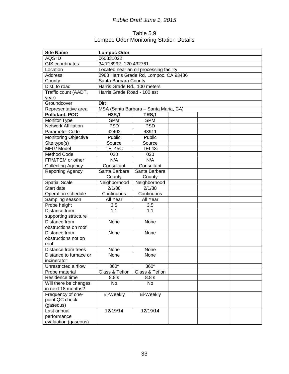### Table 5.9 Lompoc Odor Monitoring Station Details

| <b>Site Name</b>            | <b>Lompoc Odor</b>           |                                         |  |  |  |  |  |  |
|-----------------------------|------------------------------|-----------------------------------------|--|--|--|--|--|--|
| AQS ID                      | 060831022                    |                                         |  |  |  |  |  |  |
| <b>GIS</b> coordinates      | 34.718992 -120.432761        |                                         |  |  |  |  |  |  |
| Location                    |                              | Located near an oil processing facility |  |  |  |  |  |  |
| Address                     |                              | 2988 Harris Grade Rd, Lompoc, CA 93436  |  |  |  |  |  |  |
| County                      | Santa Barbara County         |                                         |  |  |  |  |  |  |
| Dist. to road               | Harris Grade Rd., 100 meters |                                         |  |  |  |  |  |  |
| Traffic count (AADT,        | Harris Grade Road - 100 est  |                                         |  |  |  |  |  |  |
| year)                       |                              |                                         |  |  |  |  |  |  |
| Groundcover                 | Dirt                         |                                         |  |  |  |  |  |  |
| Representative area         |                              | MSA (Santa Barbara - Santa Maria, CA)   |  |  |  |  |  |  |
| Pollutant, POC              | <b>H2S,1</b>                 | TRS,1                                   |  |  |  |  |  |  |
| Monitor Type                | <b>SPM</b>                   | <b>SPM</b>                              |  |  |  |  |  |  |
| <b>Network Affiliation</b>  | <b>PSD</b>                   | <b>PSD</b>                              |  |  |  |  |  |  |
| Parameter Code              | 42402                        | 43911                                   |  |  |  |  |  |  |
| <b>Monitoring Objective</b> | Public                       | Public                                  |  |  |  |  |  |  |
| Site type(s)                | Source                       | Source                                  |  |  |  |  |  |  |
| MFG/Model                   | <b>TEI 45C</b>               | <b>TEI 43i</b>                          |  |  |  |  |  |  |
| Method Code                 | 020                          | 020                                     |  |  |  |  |  |  |
| FRM/FEM or other            | N/A                          | N/A                                     |  |  |  |  |  |  |
| <b>Collecting Agency</b>    | Consultant                   | Consultant                              |  |  |  |  |  |  |
| Reporting Agency            | Santa Barbara                | Santa Barbara                           |  |  |  |  |  |  |
|                             | County<br>County             |                                         |  |  |  |  |  |  |
| <b>Spatial Scale</b>        | Neighborhood                 | Neighborhood                            |  |  |  |  |  |  |
| Start date                  | 2/1/88                       | 2/1/88                                  |  |  |  |  |  |  |
| Operation schedule          | Continuous                   | Continuous                              |  |  |  |  |  |  |
| Sampling season             | All Year                     | All Year                                |  |  |  |  |  |  |
| Probe height                | 3.5                          | 3.5                                     |  |  |  |  |  |  |
| Distance from               | 1.1                          | 1.1                                     |  |  |  |  |  |  |
| supporting structure        |                              |                                         |  |  |  |  |  |  |
| Distance from               | None                         | None                                    |  |  |  |  |  |  |
| obstructions on roof        |                              |                                         |  |  |  |  |  |  |
| Distance from               | None                         | None                                    |  |  |  |  |  |  |
| obstructions not on         |                              |                                         |  |  |  |  |  |  |
| roof                        |                              |                                         |  |  |  |  |  |  |
| Distance from trees         | None                         | None                                    |  |  |  |  |  |  |
| Distance to furnace or      | None                         | None                                    |  |  |  |  |  |  |
| incinerator                 |                              |                                         |  |  |  |  |  |  |
| Unrestricted airflow        | 360°                         | 360°                                    |  |  |  |  |  |  |
| Probe material              | Glass & Teflon               | Glass & Teflon                          |  |  |  |  |  |  |
| Residence time              | 8.8 s                        | 8.8 s                                   |  |  |  |  |  |  |
| Will there be changes       | No                           | No                                      |  |  |  |  |  |  |
| in next 18 months?          |                              |                                         |  |  |  |  |  |  |
| Frequency of one-           | <b>Bi-Weekly</b>             | <b>Bi-Weekly</b>                        |  |  |  |  |  |  |
| point QC check              |                              |                                         |  |  |  |  |  |  |
| (gaseous)                   |                              |                                         |  |  |  |  |  |  |
| Last annual                 | 12/19/14                     | 12/19/14                                |  |  |  |  |  |  |
| performance                 |                              |                                         |  |  |  |  |  |  |
| evaluation (gaseous)        |                              |                                         |  |  |  |  |  |  |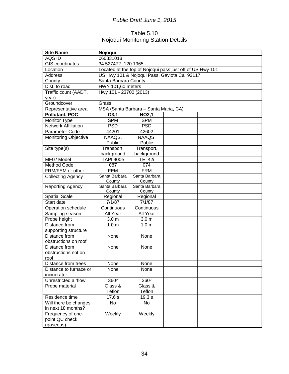### Table 5.10 Nojoqui Monitoring Station Details

| <b>Site Name</b>            | Nojoqui                        |                                       |                                                           |  |  |  |  |
|-----------------------------|--------------------------------|---------------------------------------|-----------------------------------------------------------|--|--|--|--|
| AQS ID                      | 060831018                      |                                       |                                                           |  |  |  |  |
| <b>GIS coordinates</b>      | 34.527472 -120.1965            |                                       |                                                           |  |  |  |  |
| Location                    |                                |                                       | Located at the top of Nojoqui pass just off of US Hwy 101 |  |  |  |  |
| Address                     |                                |                                       | US Hwy 101 & Nojoqui Pass, Gaviota Ca 93117               |  |  |  |  |
| County                      | Santa Barbara County           |                                       |                                                           |  |  |  |  |
| Dist. to road               | HWY 101,60 meters              |                                       |                                                           |  |  |  |  |
| Traffic count (AADT,        | Hwy 101 - 23700 (2013)         |                                       |                                                           |  |  |  |  |
| year)                       |                                |                                       |                                                           |  |  |  |  |
| Groundcover                 | Grass                          |                                       |                                                           |  |  |  |  |
| Representative area         |                                | MSA (Santa Barbara - Santa Maria, CA) |                                                           |  |  |  |  |
| <b>Pollutant, POC</b>       | O3,1                           | <b>NO2,1</b>                          |                                                           |  |  |  |  |
| Monitor Type                | <b>SPM</b>                     | <b>SPM</b>                            |                                                           |  |  |  |  |
| <b>Network Affiliation</b>  | <b>PSD</b>                     | <b>PSD</b>                            |                                                           |  |  |  |  |
| Parameter Code              | 44201                          | 42602                                 |                                                           |  |  |  |  |
| <b>Monitoring Objective</b> | NAAQS,                         | NAAQS,                                |                                                           |  |  |  |  |
|                             | Public                         | Public                                |                                                           |  |  |  |  |
| Site type(s)                | Transport,                     | Transport,                            |                                                           |  |  |  |  |
|                             | background                     | background                            |                                                           |  |  |  |  |
| MFG/Model                   | <b>TAPI 400e</b>               | <b>TEI 42i</b>                        |                                                           |  |  |  |  |
| Method Code                 | 087                            | 074                                   |                                                           |  |  |  |  |
| FRM/FEM or other            | <b>FEM</b>                     | <b>FRM</b>                            |                                                           |  |  |  |  |
| <b>Collecting Agency</b>    | Santa Barbara                  | Santa Barbara                         |                                                           |  |  |  |  |
|                             | County                         | County                                |                                                           |  |  |  |  |
| <b>Reporting Agency</b>     | Santa Barbara<br>Santa Barbara |                                       |                                                           |  |  |  |  |
|                             | County                         | County                                |                                                           |  |  |  |  |
| Spatial Scale               | Regional                       | Regional                              |                                                           |  |  |  |  |
| Start date                  | 7/1/87                         | 7/1/87                                |                                                           |  |  |  |  |
| Operation schedule          | Continuous                     | Continuous                            |                                                           |  |  |  |  |
| Sampling season             | All Year                       | All Year                              |                                                           |  |  |  |  |
| Probe height                | 3.0 <sub>m</sub>               | 3.0 <sub>m</sub>                      |                                                           |  |  |  |  |
| Distance from               | 1.0 <sub>m</sub>               | 1.0 <sub>m</sub>                      |                                                           |  |  |  |  |
| supporting structure        |                                |                                       |                                                           |  |  |  |  |
| Distance from               | None                           | None                                  |                                                           |  |  |  |  |
| obstructions on roof        |                                |                                       |                                                           |  |  |  |  |
| Distance from               | None                           | None                                  |                                                           |  |  |  |  |
| obstructions not on<br>roof |                                |                                       |                                                           |  |  |  |  |
| Distance from trees         | None                           | None                                  |                                                           |  |  |  |  |
| Distance to furnace or      | None                           | None                                  |                                                           |  |  |  |  |
| incinerator                 |                                |                                       |                                                           |  |  |  |  |
| Unrestricted airflow        | $360^\circ$                    | 360°                                  |                                                           |  |  |  |  |
| Probe material              | Glass &                        | Glass &                               |                                                           |  |  |  |  |
|                             | Teflon                         | Teflon                                |                                                           |  |  |  |  |
| Residence time              | 17.6 s                         | 19.3 s                                |                                                           |  |  |  |  |
| Will there be changes       | No                             | No                                    |                                                           |  |  |  |  |
| in next 18 months?          |                                |                                       |                                                           |  |  |  |  |
| Frequency of one-           | Weekly                         | Weekly                                |                                                           |  |  |  |  |
| point QC check              |                                |                                       |                                                           |  |  |  |  |
| (gaseous)                   |                                |                                       |                                                           |  |  |  |  |
|                             |                                |                                       |                                                           |  |  |  |  |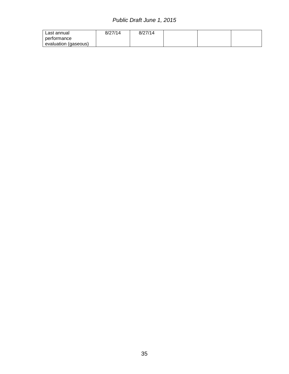| Last annual          | 8/27/14 | 8/27/14 |  |  |
|----------------------|---------|---------|--|--|
| performance          |         |         |  |  |
| evaluation (gaseous) |         |         |  |  |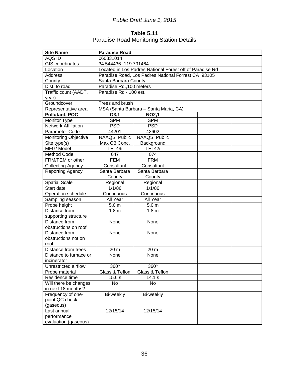### **Table 5.11** Paradise Road Monitoring Station Details

| <b>Site Name</b>            | <b>Paradise Road</b>           |                                                          |  |  |  |  |  |
|-----------------------------|--------------------------------|----------------------------------------------------------|--|--|--|--|--|
| AQS ID                      | 060831014                      |                                                          |  |  |  |  |  |
| <b>GIS</b> coordinates      | 34.544436 -119.791464          |                                                          |  |  |  |  |  |
| Location                    |                                | Located in Los Padres National Forest off of Paradise Rd |  |  |  |  |  |
| Address                     |                                | Paradise Road, Los Padres National Forrest CA 93105      |  |  |  |  |  |
| County                      | Santa Barbara County           |                                                          |  |  |  |  |  |
| Dist. to road               | Paradise Rd., 100 meters       |                                                          |  |  |  |  |  |
| Traffic count (AADT,        | Paradise Rd - 100 est.         |                                                          |  |  |  |  |  |
| year)                       |                                |                                                          |  |  |  |  |  |
| Groundcover                 | Trees and brush                |                                                          |  |  |  |  |  |
| Representative area         |                                | MSA (Santa Barbara - Santa Maria, CA)                    |  |  |  |  |  |
| <b>Pollutant, POC</b>       | O3,1                           | <b>NO2,1</b>                                             |  |  |  |  |  |
| Monitor Type                | <b>SPM</b>                     | <b>SPM</b>                                               |  |  |  |  |  |
| <b>Network Affiliation</b>  | <b>PSD</b>                     | <b>PSD</b>                                               |  |  |  |  |  |
| Parameter Code              | 44201                          | 42602                                                    |  |  |  |  |  |
| <b>Monitoring Objective</b> | NAAQS, Public                  | NAAQS, Public                                            |  |  |  |  |  |
| Site type(s)                | Max O3 Conc.                   | Background                                               |  |  |  |  |  |
| MFG/Model                   | <b>TEI 49i</b>                 | <b>TEI 42i</b>                                           |  |  |  |  |  |
| Method Code                 | 047                            | 074                                                      |  |  |  |  |  |
| FRM/FEM or other            | <b>FEM</b>                     | <b>FRM</b>                                               |  |  |  |  |  |
| <b>Collecting Agency</b>    | Consultant                     | Consultant                                               |  |  |  |  |  |
| <b>Reporting Agency</b>     | Santa Barbara<br>Santa Barbara |                                                          |  |  |  |  |  |
|                             | County<br>County               |                                                          |  |  |  |  |  |
| <b>Spatial Scale</b>        | Regional<br>Regional           |                                                          |  |  |  |  |  |
| Start date                  | 1/1/86<br>1/1/86               |                                                          |  |  |  |  |  |
| Operation schedule          | Continuous                     | Continuous                                               |  |  |  |  |  |
| Sampling season             | All Year                       | All Year                                                 |  |  |  |  |  |
| Probe height                | 5.0 <sub>m</sub>               | 5.0 <sub>m</sub>                                         |  |  |  |  |  |
| Distance from               | 1.8 <sub>m</sub>               | 1.8 <sub>m</sub>                                         |  |  |  |  |  |
| supporting structure        |                                |                                                          |  |  |  |  |  |
| Distance from               | None                           | None                                                     |  |  |  |  |  |
| obstructions on roof        |                                |                                                          |  |  |  |  |  |
| Distance from               | None                           | None                                                     |  |  |  |  |  |
| obstructions not on         |                                |                                                          |  |  |  |  |  |
| roof                        |                                |                                                          |  |  |  |  |  |
| Distance from trees         | 20 m                           | 20 m                                                     |  |  |  |  |  |
| Distance to furnace or      | None                           | None                                                     |  |  |  |  |  |
| incinerator                 |                                |                                                          |  |  |  |  |  |
| Unrestricted airflow        | 360°                           | 360°                                                     |  |  |  |  |  |
| Probe material              | Glass & Teflon                 | Glass & Teflon                                           |  |  |  |  |  |
| Residence time              | 15.6 s                         | 14.1 s                                                   |  |  |  |  |  |
| Will there be changes       | No                             | No                                                       |  |  |  |  |  |
| in next 18 months?          |                                |                                                          |  |  |  |  |  |
| Frequency of one-           | Bi-weekly                      | Bi-weekly                                                |  |  |  |  |  |
| point QC check              |                                |                                                          |  |  |  |  |  |
| (gaseous)                   |                                |                                                          |  |  |  |  |  |
| Last annual                 | 12/15/14                       | 12/15/14                                                 |  |  |  |  |  |
| performance                 |                                |                                                          |  |  |  |  |  |
| evaluation (gaseous)        |                                |                                                          |  |  |  |  |  |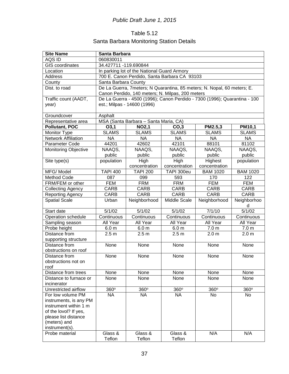## Table 5.12 Santa Barbara Monitoring Station Details

| <b>Site Name</b>                 | Santa Barbara        |                                                  |                  |                                                                           |                        |  |  |  |
|----------------------------------|----------------------|--------------------------------------------------|------------------|---------------------------------------------------------------------------|------------------------|--|--|--|
| AQS ID                           | 060830011            |                                                  |                  |                                                                           |                        |  |  |  |
| <b>GIS</b> coordinates           |                      | 34.427711 -119.690844                            |                  |                                                                           |                        |  |  |  |
| Location                         |                      | In parking lot of the National Guard Armory      |                  |                                                                           |                        |  |  |  |
| Address                          |                      | 700 E. Canon Perdido, Santa Barbara CA 93103     |                  |                                                                           |                        |  |  |  |
| County                           | Santa Barbara County |                                                  |                  |                                                                           |                        |  |  |  |
| Dist. to road                    |                      |                                                  |                  | De La Guerra, 7meters; N Quarantina, 85 meters; N. Nopal, 60 meters; E.   |                        |  |  |  |
|                                  |                      | Canon Perdido, 140 meters; N. Milpas, 200 meters |                  |                                                                           |                        |  |  |  |
| Traffic count (AADT,             |                      |                                                  |                  | De La Guerra - 4500 (1996); Canon Perdido - 7300 (1996); Quarantina - 100 |                        |  |  |  |
| year)                            |                      | est.; Milpas - 14600 (1996)                      |                  |                                                                           |                        |  |  |  |
|                                  |                      |                                                  |                  |                                                                           |                        |  |  |  |
| Groundcover                      | Asphalt              |                                                  |                  |                                                                           |                        |  |  |  |
| Representative area              |                      | MSA (Santa Barbara - Santa Maria, CA)            |                  |                                                                           |                        |  |  |  |
| <b>Pollutant, POC</b>            | O3,1                 | <b>NO2,1</b>                                     | CO <sub>3</sub>  | PM2.5,3                                                                   | <b>PM10,1</b>          |  |  |  |
| Monitor Type                     | <b>SLAMS</b>         | <b>SLAMS</b>                                     | <b>SLAMS</b>     | <b>SLAMS</b>                                                              | <b>SLAMS</b>           |  |  |  |
| <b>Network Affiliation</b>       | <b>NA</b>            | <b>NA</b>                                        | <b>NA</b>        | <b>NA</b>                                                                 | <b>NA</b>              |  |  |  |
| Parameter Code                   | 44201                | 42602                                            | 42101            | 88101                                                                     | 81102                  |  |  |  |
| <b>Monitoring Objective</b>      | NAAQS,               | NAAQS,                                           | NAAQS,           | NAAQS,                                                                    | NAAQS,                 |  |  |  |
|                                  | public               | public                                           | public           | public                                                                    | public                 |  |  |  |
| Site type(s)                     | population           | High                                             | High             | Highest                                                                   | population             |  |  |  |
|                                  |                      | concentration                                    | concentration    | concentration                                                             |                        |  |  |  |
| MFG/Model                        | <b>TAPI 400</b>      | <b>TAPI 200</b>                                  | TAPI 300eu       | <b>BAM 1020</b>                                                           | <b>BAM 1020</b>        |  |  |  |
| <b>Method Code</b>               | 087                  | 099                                              | 593              | 170                                                                       | 122                    |  |  |  |
| FRM/FEM or other                 | <b>FEM</b>           | <b>FRM</b>                                       | <b>FRM</b>       | <b>FEM</b>                                                                | <b>FEM</b>             |  |  |  |
| <b>Collecting Agency</b>         | <b>CARB</b>          | CARB                                             | <b>CARB</b>      | <b>CARB</b>                                                               | <b>CARB</b>            |  |  |  |
| Reporting Agency                 | <b>CARB</b>          | <b>CARB</b>                                      | <b>CARB</b>      | <b>CARB</b>                                                               | <b>CARB</b>            |  |  |  |
| <b>Spatial Scale</b>             | Urban                | Neighborhood                                     | Middle Scale     | Neighborhood                                                              | Neighborhoo<br>d       |  |  |  |
| Start date                       | 5/1/02               | 5/1/02                                           | 5/1/02           | 7/1/10                                                                    | 5/1/02                 |  |  |  |
| Operation schedule               | Continuous           | Continuous                                       | Continuous       | Continuous                                                                | Continuous             |  |  |  |
| Sampling season                  | All Year             | All Year                                         | All Year         | All Year                                                                  | All Year               |  |  |  |
| Probe height                     | 6.0 <sub>m</sub>     | 6.0 <sub>m</sub>                                 | 6.0 <sub>m</sub> | 7.0 <sub>m</sub>                                                          | 7.0 <sub>m</sub>       |  |  |  |
| Distance from                    | 2.5 <sub>m</sub>     | 2.5 <sub>m</sub>                                 | 2.5 <sub>m</sub> | 2.0 <sub>m</sub>                                                          | 2.0 <sub>m</sub>       |  |  |  |
| supporting structure             |                      |                                                  |                  |                                                                           |                        |  |  |  |
| Distance from                    | None                 | None                                             | None             | None                                                                      | None                   |  |  |  |
| obstructions on roof             |                      |                                                  |                  |                                                                           |                        |  |  |  |
| Distance from                    | None                 | None                                             | None             | None                                                                      | None                   |  |  |  |
| obstructions not on              |                      |                                                  |                  |                                                                           |                        |  |  |  |
| roof                             |                      |                                                  |                  |                                                                           |                        |  |  |  |
| Distance from trees              | None                 | None                                             | None             | None                                                                      | None                   |  |  |  |
| Distance to furnace or           | None                 | None                                             | None             | None                                                                      | None                   |  |  |  |
| incinerator                      |                      |                                                  |                  |                                                                           |                        |  |  |  |
| Unrestricted airflow             | 360°                 | 360°                                             | 360°             | $\overline{3}60^\circ$                                                    | $\overline{3}60^\circ$ |  |  |  |
| For low volume PM                | <b>NA</b>            | <b>NA</b>                                        | <b>NA</b>        | No                                                                        | No                     |  |  |  |
| instruments, is any PM           |                      |                                                  |                  |                                                                           |                        |  |  |  |
| instrument within 1 m            |                      |                                                  |                  |                                                                           |                        |  |  |  |
| of the lovol? If yes,            |                      |                                                  |                  |                                                                           |                        |  |  |  |
| please list distance             |                      |                                                  |                  |                                                                           |                        |  |  |  |
| (meters) and                     |                      |                                                  |                  |                                                                           |                        |  |  |  |
| instrument(s).<br>Probe material | Glass &              | Glass &                                          | Glass &          | N/A                                                                       | N/A                    |  |  |  |
|                                  | Teflon               | Teflon                                           | Teflon           |                                                                           |                        |  |  |  |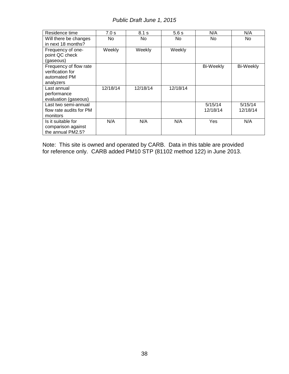| Residence time          | 7.0 s    | 8.1 s    | 5.6s     | N/A              | N/A              |
|-------------------------|----------|----------|----------|------------------|------------------|
| Will there be changes   | No       | No.      | No.      | No.              | No.              |
| in next 18 months?      |          |          |          |                  |                  |
| Frequency of one-       | Weekly   | Weekly   | Weekly   |                  |                  |
| point QC check          |          |          |          |                  |                  |
| (gaseous)               |          |          |          |                  |                  |
| Frequency of flow rate  |          |          |          | <b>Bi-Weekly</b> | <b>Bi-Weekly</b> |
| verification for        |          |          |          |                  |                  |
| automated PM            |          |          |          |                  |                  |
| analyzers               |          |          |          |                  |                  |
| Last annual             | 12/18/14 | 12/18/14 | 12/18/14 |                  |                  |
| performance             |          |          |          |                  |                  |
| evaluation (gaseous)    |          |          |          |                  |                  |
| Last two semi-annual    |          |          |          | 5/15/14          | 5/15/14          |
| flow rate audits for PM |          |          |          | 12/18/14         | 12/18/14         |
| monitors                |          |          |          |                  |                  |
| Is it suitable for      | N/A      | N/A      | N/A      | Yes              | N/A              |
| comparison against      |          |          |          |                  |                  |
| the annual PM2.5?       |          |          |          |                  |                  |

Note: This site is owned and operated by CARB. Data in this table are provided for reference only. CARB added PM10 STP (81102 method 122) in June 2013.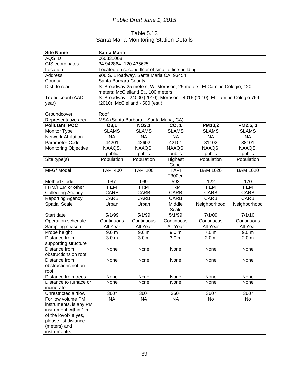### Table 5.13 Santa Maria Monitoring Station Details

| <b>Site Name</b>              | <b>Santa Maria</b>   |                                                                                       |                                                  |                                                                           |                  |  |  |  |
|-------------------------------|----------------------|---------------------------------------------------------------------------------------|--------------------------------------------------|---------------------------------------------------------------------------|------------------|--|--|--|
| AQS ID                        | 060831008            |                                                                                       |                                                  |                                                                           |                  |  |  |  |
| <b>GIS</b> coordinates        |                      | 34.942864 -120.435625                                                                 |                                                  |                                                                           |                  |  |  |  |
| Location                      |                      |                                                                                       | Located on second floor of small office building |                                                                           |                  |  |  |  |
| Address                       |                      | 906 S. Broadway, Santa Maria CA 93454                                                 |                                                  |                                                                           |                  |  |  |  |
| County                        | Santa Barbara County |                                                                                       |                                                  |                                                                           |                  |  |  |  |
| Dist. to road                 |                      |                                                                                       |                                                  | S. Broadway, 25 meters; W. Morrison, 25 meters; El Camino Colegio, 120    |                  |  |  |  |
|                               |                      | meters; McClelland St., 100 meters                                                    |                                                  |                                                                           |                  |  |  |  |
| Traffic count (AADT,<br>year) |                      | (2010); McClelland - 500 (est.)                                                       |                                                  | S. Broadway - 24000 (2010); Morrison - 4016 (2010); El Camino Colegio 769 |                  |  |  |  |
|                               |                      |                                                                                       |                                                  |                                                                           |                  |  |  |  |
| Groundcover                   | Roof                 |                                                                                       |                                                  |                                                                           |                  |  |  |  |
| Representative area           |                      | MSA (Santa Barbara - Santa Maria, CA)                                                 |                                                  |                                                                           |                  |  |  |  |
| Pollutant, POC                | O3,1                 | <b>NO2,1</b>                                                                          | CO, 1                                            | <b>PM10,2</b>                                                             | PM2.5, 3         |  |  |  |
| Monitor Type                  | <b>SLAMS</b>         | <b>SLAMS</b>                                                                          | <b>SLAMS</b>                                     | <b>SLAMS</b>                                                              | <b>SLAMS</b>     |  |  |  |
| <b>Network Affiliation</b>    | <b>NA</b>            | <b>NA</b>                                                                             | <b>NA</b>                                        | <b>NA</b>                                                                 | <b>NA</b>        |  |  |  |
| Parameter Code                | 44201                | 42602                                                                                 | 42101                                            | 81102                                                                     | 88101            |  |  |  |
| <b>Monitoring Objective</b>   | NAAQS,               | NAAQS,                                                                                | NAAQS,                                           | NAAQS,                                                                    | NAAQS,           |  |  |  |
|                               | public               | public                                                                                | public                                           | public                                                                    | public           |  |  |  |
| Site type(s)                  | Population           | Population                                                                            | Highest<br>Conc.                                 | Population                                                                | Population       |  |  |  |
| MFG/Model                     | <b>TAPI 400</b>      | <b>TAPI 200</b><br><b>TAPI</b><br><b>BAM 1020</b><br><b>BAM 1020</b><br><b>T300eu</b> |                                                  |                                                                           |                  |  |  |  |
| Method Code                   | 087                  | 122<br>099<br>593<br>170                                                              |                                                  |                                                                           |                  |  |  |  |
| FRM/FEM or other              | <b>FEM</b>           | <b>FRM</b>                                                                            | <b>FRM</b>                                       | <b>FEM</b>                                                                | <b>FEM</b>       |  |  |  |
| <b>Collecting Agency</b>      | CARB                 | <b>CARB</b><br>CARB<br><b>CARB</b><br>CARB                                            |                                                  |                                                                           |                  |  |  |  |
| Reporting Agency              | CARB                 | <b>CARB</b>                                                                           | CARB                                             | <b>CARB</b>                                                               | <b>CARB</b>      |  |  |  |
| <b>Spatial Scale</b>          | Urban                | Urban                                                                                 | Middle                                           | Neighborhood                                                              | Neighborhood     |  |  |  |
|                               |                      |                                                                                       | Scale                                            |                                                                           |                  |  |  |  |
| Start date                    | 5/1/99               | 5/1/99                                                                                | 5/1/99                                           | 7/1/09                                                                    | 7/1/10           |  |  |  |
| Operation schedule            | Continuous           | Continuous                                                                            | Continuous                                       | Continuous                                                                | Continuous       |  |  |  |
| Sampling season               | All Year             | All Year                                                                              | All Year                                         | All Year                                                                  | All Year         |  |  |  |
| Probe height                  | 9.0 <sub>m</sub>     | 9.0 <sub>m</sub>                                                                      | 9.0 <sub>m</sub>                                 | 7.0 <sub>m</sub>                                                          | 9.0 <sub>m</sub> |  |  |  |
| Distance from                 | 3.0 <sub>m</sub>     | 3.0 <sub>m</sub>                                                                      | 3.0 <sub>m</sub>                                 | 2.0 <sub>m</sub>                                                          | 2.0 <sub>m</sub> |  |  |  |
| supporting structure          |                      |                                                                                       |                                                  |                                                                           |                  |  |  |  |
| Distance from                 | None                 | None                                                                                  | None                                             | None                                                                      | None             |  |  |  |
| obstructions on roof          |                      |                                                                                       |                                                  |                                                                           |                  |  |  |  |
| Distance from                 | None                 | None                                                                                  | None                                             | None                                                                      | None             |  |  |  |
| obstructions not on           |                      |                                                                                       |                                                  |                                                                           |                  |  |  |  |
| roof                          |                      |                                                                                       |                                                  |                                                                           |                  |  |  |  |
| Distance from trees           | None                 | None                                                                                  | None                                             | None                                                                      | None             |  |  |  |
| Distance to furnace or        | None                 | None                                                                                  | None                                             | None                                                                      | None             |  |  |  |
| incinerator                   |                      |                                                                                       |                                                  |                                                                           |                  |  |  |  |
| Unrestricted airflow          | 360°                 | 360°                                                                                  | 360°                                             | 360°                                                                      | 360°             |  |  |  |
| For low volume PM             | <b>NA</b>            | <b>NA</b>                                                                             | <b>NA</b>                                        | No                                                                        | No               |  |  |  |
| instruments, is any PM        |                      |                                                                                       |                                                  |                                                                           |                  |  |  |  |
| instrument within 1 m         |                      |                                                                                       |                                                  |                                                                           |                  |  |  |  |
| of the lovol? If yes,         |                      |                                                                                       |                                                  |                                                                           |                  |  |  |  |
| please list distance          |                      |                                                                                       |                                                  |                                                                           |                  |  |  |  |
| (meters) and                  |                      |                                                                                       |                                                  |                                                                           |                  |  |  |  |
| instrument(s).                |                      |                                                                                       |                                                  |                                                                           |                  |  |  |  |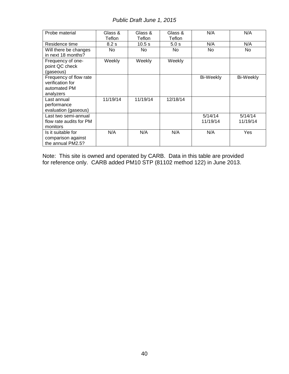| Probe material                                                          | Glass &<br>Teflon | Glass &<br>Teflon | Glass &<br>Teflon | N/A                 | N/A                 |
|-------------------------------------------------------------------------|-------------------|-------------------|-------------------|---------------------|---------------------|
| Residence time                                                          | 8.2 s             | 10.5 s            | 5.0 s             | N/A                 | N/A                 |
| Will there be changes<br>in next 18 months?                             | No                | No                | No.               | No.                 | No.                 |
| Frequency of one-<br>point QC check<br>(gaseous)                        | Weekly            | Weekly            | Weekly            |                     |                     |
| Frequency of flow rate<br>verification for<br>automated PM<br>analyzers |                   |                   |                   | <b>Bi-Weekly</b>    | Bi-Weekly           |
| Last annual<br>performance<br>evaluation (gaseous)                      | 11/19/14          | 11/19/14          | 12/18/14          |                     |                     |
| Last two semi-annual<br>flow rate audits for PM<br>monitors             |                   |                   |                   | 5/14/14<br>11/19/14 | 5/14/14<br>11/19/14 |
| Is it suitable for<br>comparison against<br>the annual PM2.5?           | N/A               | N/A               | N/A               | N/A                 | Yes                 |

Note: This site is owned and operated by CARB. Data in this table are provided for reference only. CARB added PM10 STP (81102 method 122) in June 2013.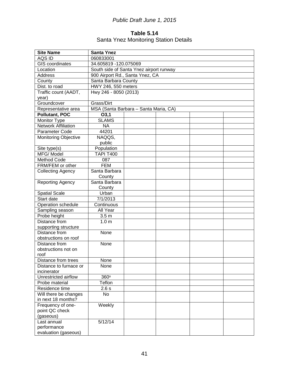### **Table 5.14** Santa Ynez Monitoring Station Details

| <b>Site Name</b>            | <b>Santa Ynez</b>                       |  |  |  |
|-----------------------------|-----------------------------------------|--|--|--|
| AQS ID                      | 060833001                               |  |  |  |
| <b>GIS</b> coordinates      | 34.605819 -120.075069                   |  |  |  |
| Location                    | South side of Santa Ynez airport runway |  |  |  |
| Address                     | 900 Airport Rd., Santa Ynez, CA         |  |  |  |
| County                      | Santa Barbara County                    |  |  |  |
| Dist. to road               | HWY 246, 550 meters                     |  |  |  |
| Traffic count (AADT,        | Hwy 246 - 8050 (2013)                   |  |  |  |
| year)                       |                                         |  |  |  |
| Groundcover                 | Grass/Dirt                              |  |  |  |
| Representative area         | MSA (Santa Barbara - Santa Maria, CA)   |  |  |  |
| <b>Pollutant, POC</b>       | O3,1                                    |  |  |  |
| Monitor Type                | <b>SLAMS</b>                            |  |  |  |
| <b>Network Affiliation</b>  | <b>NA</b>                               |  |  |  |
| Parameter Code              | 44201                                   |  |  |  |
| <b>Monitoring Objective</b> | NAQQS,                                  |  |  |  |
|                             | public                                  |  |  |  |
| Site type(s)                | Population                              |  |  |  |
| MFG/Model                   | <b>TAPI T400</b>                        |  |  |  |
| Method Code                 | 087                                     |  |  |  |
| FRM/FEM or other            | <b>FEM</b>                              |  |  |  |
| <b>Collecting Agency</b>    | Santa Barbara                           |  |  |  |
|                             | County                                  |  |  |  |
| <b>Reporting Agency</b>     | Santa Barbara                           |  |  |  |
|                             | County                                  |  |  |  |
| <b>Spatial Scale</b>        | Urban                                   |  |  |  |
| Start date                  | 7/1/2013                                |  |  |  |
| Operation schedule          | Continuous                              |  |  |  |
| Sampling season             | All Year                                |  |  |  |
| Probe height                | 3.5 <sub>m</sub>                        |  |  |  |
| Distance from               | 1.0 <sub>m</sub>                        |  |  |  |
| supporting structure        |                                         |  |  |  |
| Distance from               | None                                    |  |  |  |
| obstructions on roof        |                                         |  |  |  |
| Distance from               | None                                    |  |  |  |
| obstructions not on         |                                         |  |  |  |
| roof                        |                                         |  |  |  |
| Distance from trees         | None                                    |  |  |  |
| Distance to furnace or      | None                                    |  |  |  |
| incinerator                 |                                         |  |  |  |
| Unrestricted airflow        | 360°                                    |  |  |  |
| Probe material              | Teflon                                  |  |  |  |
| Residence time              | 2.6 s                                   |  |  |  |
| Will there be changes       | No                                      |  |  |  |
| in next 18 months?          |                                         |  |  |  |
| Frequency of one-           | Weekly                                  |  |  |  |
| point QC check<br>(gaseous) |                                         |  |  |  |
| Last annual                 | 5/12/14                                 |  |  |  |
| performance                 |                                         |  |  |  |
| evaluation (gaseous)        |                                         |  |  |  |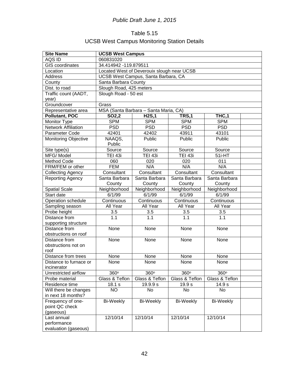## Table 5.15 UCSB West Campus Monitoring Station Details

| <b>Site Name</b>            | <b>UCSB West Campus</b>                    |                                       |                  |                 |  |
|-----------------------------|--------------------------------------------|---------------------------------------|------------------|-----------------|--|
| AQS ID                      | 060831020                                  |                                       |                  |                 |  |
| <b>GIS</b> coordinates      | 34.414942 -119.879511                      |                                       |                  |                 |  |
| Location                    | Located West of Deverouix slough near UCSB |                                       |                  |                 |  |
| Address                     |                                            | UCSB West Campus, Santa Barbara, CA   |                  |                 |  |
| County                      | Santa Barbara County                       |                                       |                  |                 |  |
| Dist. to road               | Slough Road, 425 meters                    |                                       |                  |                 |  |
| Traffic count (AADT,        | Slough Road - 50 est                       |                                       |                  |                 |  |
| year)                       |                                            |                                       |                  |                 |  |
| Groundcover                 | Grass                                      |                                       |                  |                 |  |
| Representative area         |                                            | MSA (Santa Barbara - Santa Maria, CA) |                  |                 |  |
| <b>Pollutant, POC</b>       | SO2,2                                      | <b>H2S,1</b>                          | TRS,1            | THC,1           |  |
| Monitor Type                | <b>SPM</b>                                 | <b>SPM</b>                            | <b>SPM</b>       | <b>SPM</b>      |  |
| <b>Network Affiliation</b>  | <b>PSD</b>                                 | <b>PSD</b>                            | <b>PSD</b>       | <b>PSD</b>      |  |
| Parameter Code              | 42401                                      | 42402                                 | 43911            | 43101           |  |
| <b>Monitoring Objective</b> | NAAQS,                                     | Public                                | Public           | Public          |  |
|                             | Public                                     |                                       |                  |                 |  |
| Site type(s)                | Source                                     | Source                                | Source           | Source          |  |
| MFG/Model                   | TEI 43i                                    | TEI 43i                               | <b>TEI 43i</b>   | 51i-HT          |  |
| Method Code                 | 060                                        | 020                                   | 020              | 011             |  |
| FRM/FEM or other            | <b>FEM</b>                                 | N/A                                   | N/A              | N/A             |  |
| <b>Collecting Agency</b>    | Consultant                                 | Consultant                            | Consultant       | Consultant      |  |
| <b>Reporting Agency</b>     | Santa Barbara                              | Santa Barbara                         | Santa Barbara    | Santa Barbara   |  |
|                             | County                                     | County                                | County           | County          |  |
| <b>Spatial Scale</b>        | Neighborhood                               | Neighborhood                          | Neighborhood     | Neighborhood    |  |
| Start date                  | 6/1/99                                     | 6/1/99                                | 6/1/99           | $\sqrt{6}/1/99$ |  |
| Operation schedule          | Continuous                                 | Continuous                            | Continuous       | Continuous      |  |
| Sampling season             | All Year                                   | All Year                              | All Year         | All Year        |  |
| Probe height                | 3.5                                        | 3.5                                   | 3.5              | 3.5             |  |
| Distance from               | 1.1                                        | 1.1                                   | $\overline{1.1}$ | 1.1             |  |
| supporting structure        |                                            |                                       |                  |                 |  |
| Distance from               | None                                       | None                                  | None             | None            |  |
| obstructions on roof        |                                            |                                       |                  |                 |  |
| Distance from               | None                                       | None                                  | None             | None            |  |
| obstructions not on         |                                            |                                       |                  |                 |  |
| roof                        |                                            |                                       |                  |                 |  |
| Distance from trees         | None                                       | None                                  | None             | None            |  |
| Distance to furnace or      | None                                       | None                                  | None             | None            |  |
| incinerator                 |                                            |                                       |                  |                 |  |
| Unrestricted airflow        | 360°                                       | 360°                                  | 360°             | 360°            |  |
| Probe material              | Glass & Teflon                             | Glass & Teflon                        | Glass & Teflon   | Glass & Teflon  |  |
| Residence time              | 18.1 s                                     | 19.9.9 s                              | 19.9 s           | 14.9 s          |  |
| Will there be changes       | NO.                                        | No.                                   | No               | No              |  |
| in next 18 months?          |                                            |                                       |                  |                 |  |
| Frequency of one-           | <b>Bi-Weekly</b>                           | Bi-Weekly                             | Bi-Weekly        | Bi-Weekly       |  |
| point QC check              |                                            |                                       |                  |                 |  |
| (gaseous)                   |                                            |                                       |                  |                 |  |
| Last annual                 | 12/10/14                                   | 12/10/14                              | 12/10/14         | 12/10/14        |  |
| performance                 |                                            |                                       |                  |                 |  |
| evaluation (gaseous)        |                                            |                                       |                  |                 |  |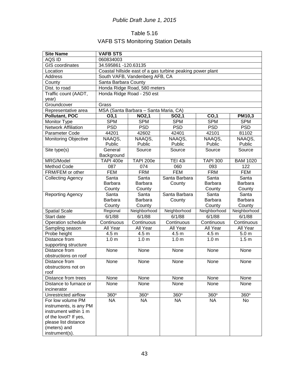## Table 5.16 VAFB STS Monitoring Station Details

| <b>Site Name</b>                      | <b>VAFB STS</b>                                            |                                       |                   |                  |                  |
|---------------------------------------|------------------------------------------------------------|---------------------------------------|-------------------|------------------|------------------|
| AQS ID                                | 060834003                                                  |                                       |                   |                  |                  |
| <b>GIS</b> coordinates                | 34.595861 -120.63135                                       |                                       |                   |                  |                  |
| Location                              | Coastal hillside east of a gas turbine peaking power plant |                                       |                   |                  |                  |
| <b>Address</b>                        | South VAFB, Vandenberg AFB, CA                             |                                       |                   |                  |                  |
| County                                |                                                            | Santa Barbara County                  |                   |                  |                  |
| Dist. to road                         |                                                            | Honda Ridge Road, 580 meters          |                   |                  |                  |
| Traffic count (AADT,                  |                                                            | Honda Ridge Road - 250 est            |                   |                  |                  |
| year)                                 |                                                            |                                       |                   |                  |                  |
| Groundcover                           | Grass                                                      |                                       |                   |                  |                  |
| Representative area                   |                                                            | MSA (Santa Barbara - Santa Maria, CA) |                   |                  |                  |
| <b>Pollutant, POC</b>                 | O3,1                                                       | <b>NO2,1</b>                          | SO <sub>2,1</sub> | CO,1             | PM10,3           |
| Monitor Type                          | <b>SPM</b>                                                 | <b>SPM</b>                            | <b>SPM</b>        | <b>SPM</b>       | <b>SPM</b>       |
| <b>Network Affiliation</b>            | <b>PSD</b>                                                 | <b>PSD</b>                            | <b>PSD</b>        | <b>PSD</b>       | <b>PSD</b>       |
| Parameter Code                        | 44201                                                      | 42602                                 | 42401             | 42101            | 81102            |
| <b>Monitoring Objective</b>           | NAAQS,                                                     | NAAQS,                                | NAAQS,            | NAAQS,           | NAAQS,           |
|                                       | Public                                                     | Public                                | Public            | Public           | Public           |
| Site type(s)                          | General                                                    | Source                                | Source            | Source           | Source           |
|                                       | Background                                                 |                                       |                   |                  |                  |
| MRG/Model                             | <b>TAPI 400e</b>                                           | <b>TAPI 200e</b>                      | <b>TEI 43i</b>    | <b>TAPI 300</b>  | <b>BAM 1020</b>  |
| Method Code                           | 087                                                        | 074                                   | 060               | 093              | 122              |
| FRM/FEM or other                      | <b>FEM</b>                                                 | <b>FRM</b>                            | <b>FEM</b>        | <b>FRM</b>       | <b>FEM</b>       |
| <b>Collecting Agency</b>              | Santa                                                      | Santa                                 | Santa Barbara     | Santa            | Santa            |
|                                       | <b>Barbara</b>                                             | Barbara                               | County            | Barbara          | <b>Barbara</b>   |
|                                       | County                                                     | County                                |                   | County           | County           |
| <b>Reporting Agency</b>               | Santa                                                      | Santa                                 | Santa Barbara     | Santa            | Santa            |
|                                       | Barbara                                                    | Barbara                               | County            | Barbara          | Barbara          |
|                                       | County                                                     | County                                |                   | County           | County           |
| <b>Spatial Scale</b>                  | Regional                                                   | Neighborhood                          | Neighborhood      | Neighborhood     | Neighborhood     |
| Start date                            | 6/1/88                                                     | 6/1/88                                | 6/1/88            | 6/1/88           | 6/1/88           |
| Operation schedule                    | Continuous                                                 | Continuous                            | Continuous        | Continuous       | Continuous       |
| Sampling season                       | All Year                                                   | All Year                              | All Year          | All Year         | All Year         |
| Probe height                          | 4.5 <sub>m</sub>                                           | 4.5 <sub>m</sub>                      | 4.5 m             | 4.5 m            | 5.0 <sub>m</sub> |
| Distance from                         | 1.0 <sub>m</sub>                                           | 1.0 <sub>m</sub>                      | 1.0 <sub>m</sub>  | 1.0 <sub>m</sub> | 1.5 <sub>m</sub> |
| supporting structure<br>Distance from | None                                                       |                                       |                   | None             |                  |
| obstructions on roof                  |                                                            | None                                  | None              |                  | None             |
| Distance from                         |                                                            | None                                  |                   |                  |                  |
| obstructions not on                   | None                                                       |                                       | None              | None             | None             |
| roof                                  |                                                            |                                       |                   |                  |                  |
| Distance from trees                   | None                                                       | None                                  | None              | None             | None             |
| Distance to furnace or                | None                                                       | None                                  | None              | None             | None             |
| incinerator                           |                                                            |                                       |                   |                  |                  |
| Unrestricted airflow                  | 360°                                                       | 360°                                  | 360°              | 360°             | 360°             |
| For low volume PM                     | <b>NA</b>                                                  | <b>NA</b>                             | <b>NA</b>         | <b>NA</b>        | No               |
| instruments, is any PM                |                                                            |                                       |                   |                  |                  |
| instrument within 1 m                 |                                                            |                                       |                   |                  |                  |
| of the lovol? If yes,                 |                                                            |                                       |                   |                  |                  |
| please list distance                  |                                                            |                                       |                   |                  |                  |
| (meters) and                          |                                                            |                                       |                   |                  |                  |
| instrument(s).                        |                                                            |                                       |                   |                  |                  |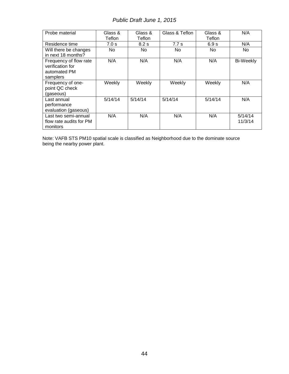| Probe material          | Glass &<br>Teflon | Glass &<br>Teflon | Glass & Teflon | Glass &<br>Teflon | N/A       |
|-------------------------|-------------------|-------------------|----------------|-------------------|-----------|
| Residence time          | 7.0 s             | 8.2 s             | 7.7s           | 6.9 s             | N/A       |
| Will there be changes   | <b>No</b>         | No.               | No.            | No.               | No.       |
| in next 18 months?      |                   |                   |                |                   |           |
| Frequency of flow rate  | N/A               | N/A               | N/A            | N/A               | Bi-Weekly |
| verification for        |                   |                   |                |                   |           |
| automated PM            |                   |                   |                |                   |           |
| samplers                |                   |                   |                |                   |           |
| Frequency of one-       | Weekly            | Weekly            | Weekly         | Weekly            | N/A       |
| point QC check          |                   |                   |                |                   |           |
| (gaseous)               |                   |                   |                |                   |           |
| Last annual             | 5/14/14           | 5/14/14           | 5/14/14        | 5/14/14           | N/A       |
| performance             |                   |                   |                |                   |           |
| evaluation (gaseous)    |                   |                   |                |                   |           |
| Last two semi-annual    | N/A               | N/A               | N/A            | N/A               | 5/14/14   |
| flow rate audits for PM |                   |                   |                |                   | 11/3/14   |
| monitors                |                   |                   |                |                   |           |

Note: VAFB STS PM10 spatial scale is classified as Neighborhood due to the dominate source being the nearby power plant.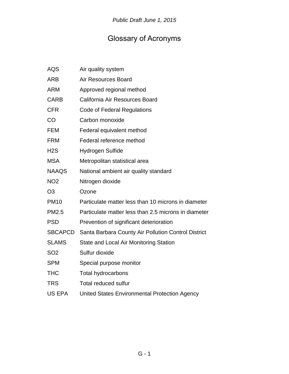# Glossary of Acronyms

| <b>AQS</b>       | Air quality system                                   |
|------------------|------------------------------------------------------|
| <b>ARB</b>       | <b>Air Resources Board</b>                           |
| <b>ARM</b>       | Approved regional method                             |
| <b>CARB</b>      | California Air Resources Board                       |
| <b>CFR</b>       | Code of Federal Regulations                          |
| CO               | Carbon monoxide                                      |
| <b>FEM</b>       | Federal equivalent method                            |
| <b>FRM</b>       | Federal reference method                             |
| H <sub>2</sub> S | Hydrogen Sulfide                                     |
| <b>MSA</b>       | Metropolitan statistical area                        |
| <b>NAAQS</b>     | National ambient air quality standard                |
| <b>NO2</b>       | Nitrogen dioxide                                     |
| O <sub>3</sub>   | Ozone                                                |
| <b>PM10</b>      | Particulate matter less than 10 microns in diameter  |
| <b>PM2.5</b>     | Particulate matter less than 2.5 microns in diameter |
| <b>PSD</b>       | Prevention of significant deterioration              |
| <b>SBCAPCD</b>   | Santa Barbara County Air Pollution Control District  |
| <b>SLAMS</b>     | State and Local Air Monitoring Station               |
| SO <sub>2</sub>  | Sulfur dioxide                                       |
| <b>SPM</b>       | Special purpose monitor                              |
| <b>THC</b>       | <b>Total hydrocarbons</b>                            |
| <b>TRS</b>       | <b>Total reduced sulfur</b>                          |
| <b>US EPA</b>    | United States Environmental Protection Agency        |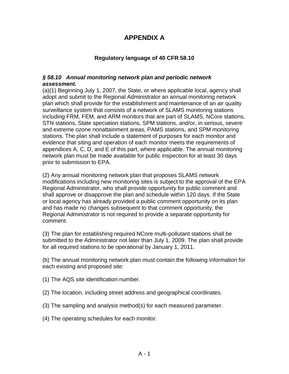## **APPENDIX A**

### **Regulatory language of 40 CFR 58.10**

#### *§ 58.10 Annual monitoring network plan and periodic network assessment.*

(a)(1) Beginning July 1, 2007, the State, or where applicable local, agency shall adopt and submit to the Regional Administrator an annual monitoring network plan which shall provide for the establishment and maintenance of an air quality surveillance system that consists of a network of SLAMS monitoring stations including FRM, FEM, and ARM monitors that are part of SLAMS, NCore stations, STN stations, State speciation stations, SPM stations, and/or, in serious, severe and extreme ozone nonattainment areas, PAMS stations, and SPM monitoring stations. The plan shall include a statement of purposes for each monitor and evidence that siting and operation of each monitor meets the requirements of appendices A, C, D, and E of this part, where applicable. The annual monitoring network plan must be made available for public inspection for at least 30 days prior to submission to EPA.

(2) Any annual monitoring network plan that proposes SLAMS network modifications including new monitoring sites is subject to the approval of the EPA Regional Administrator, who shall provide opportunity for public comment and shall approve or disapprove the plan and schedule within 120 days. If the State or local agency has already provided a public comment opportunity on its plan and has made no changes subsequent to that comment opportunity, the Regional Administrator is not required to provide a separate opportunity for comment.

(3) The plan for establishing required NCore multi-pollutant stations shall be submitted to the Administrator not later than July 1, 2009. The plan shall provide for all required stations to be operational by January 1, 2011.

(b) The annual monitoring network plan must contain the following information for each existing and proposed site:

- (1) The AQS site identification number.
- (2) The location, including street address and geographical coordinates.
- (3) The sampling and analysis method(s) for each measured parameter.
- (4) The operating schedules for each monitor.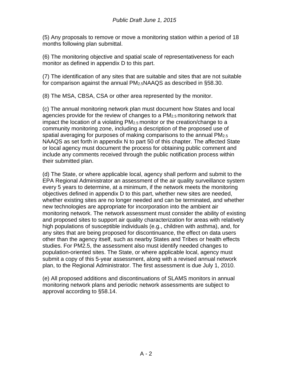(5) Any proposals to remove or move a monitoring station within a period of 18 months following plan submittal.

(6) The monitoring objective and spatial scale of representativeness for each monitor as defined in appendix D to this part.

(7) The identification of any sites that are suitable and sites that are not suitable for comparison against the annual PM2.5NAAQS as described in §58.30.

(8) The MSA, CBSA, CSA or other area represented by the monitor.

(c) The annual monitoring network plan must document how States and local agencies provide for the review of changes to a PM2.5 monitoring network that impact the location of a violating PM2.5 monitor or the creation/change to a community monitoring zone, including a description of the proposed use of spatial averaging for purposes of making comparisons to the annual PM<sub>2.5</sub> NAAQS as set forth in appendix N to part 50 of this chapter. The affected State or local agency must document the process for obtaining public comment and include any comments received through the public notification process within their submitted plan.

(d) The State, or where applicable local, agency shall perform and submit to the EPA Regional Administrator an assessment of the air quality surveillance system every 5 years to determine, at a minimum, if the network meets the monitoring objectives defined in appendix D to this part, whether new sites are needed, whether existing sites are no longer needed and can be terminated, and whether new technologies are appropriate for incorporation into the ambient air monitoring network. The network assessment must consider the ability of existing and proposed sites to support air quality characterization for areas with relatively high populations of susceptible individuals (e.g., children with asthma), and, for any sites that are being proposed for discontinuance, the effect on data users other than the agency itself, such as nearby States and Tribes or health effects studies. For PM2.5, the assessment also must identify needed changes to population-oriented sites. The State, or where applicable local, agency must submit a copy of this 5-year assessment, along with a revised annual network plan, to the Regional Administrator. The first assessment is due July 1, 2010.

(e) All proposed additions and discontinuations of SLAMS monitors in annual monitoring network plans and periodic network assessments are subject to approval according to §58.14.